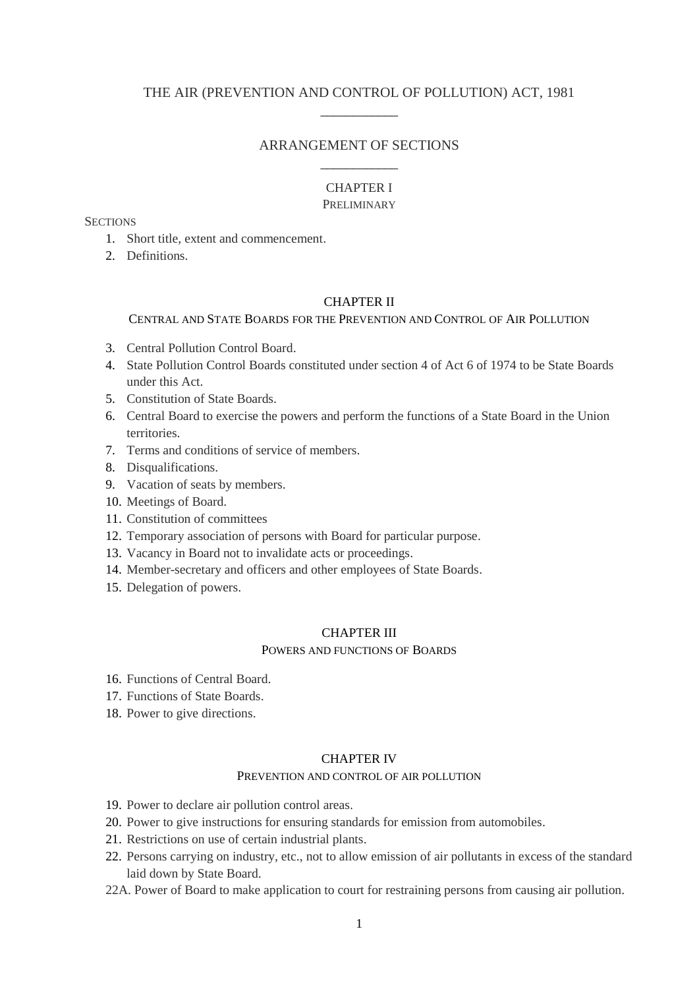# THE AIR (PREVENTION AND CONTROL OF POLLUTION) ACT, 1981 \_\_\_\_\_\_\_\_\_\_\_\_

# ARRANGEMENT OF SECTIONS \_\_\_\_\_\_\_\_\_\_\_\_

# CHAPTER I

### PRELIMINARY

### **SECTIONS**

- 1. Short title, extent and commencement.
- 2. Definitions.

# CHAPTER II

# CENTRAL AND STATE BOARDS FOR THE PREVENTION AND CONTROL OF AIR POLLUTION

- 3. Central Pollution Control Board.
- 4. State Pollution Control Boards constituted under section 4 of Act 6 of 1974 to be State Boards under this Act.
- 5. Constitution of State Boards.
- 6. Central Board to exercise the powers and perform the functions of a State Board in the Union territories.
- 7. Terms and conditions of service of members.
- 8. Disqualifications.
- 9. Vacation of seats by members.
- 10. Meetings of Board.
- 11. Constitution of committees
- 12. Temporary association of persons with Board for particular purpose.
- 13. Vacancy in Board not to invalidate acts or proceedings.
- 14. Member-secretary and officers and other employees of State Boards.
- 15. Delegation of powers.

#### CHAPTER III

#### POWERS AND FUNCTIONS OF BOARDS

- 16. Functions of Central Board.
- 17. Functions of State Boards.
- 18. Power to give directions.

#### CHAPTER IV

### PREVENTION AND CONTROL OF AIR POLLUTION

- 19. Power to declare air pollution control areas.
- 20. Power to give instructions for ensuring standards for emission from automobiles.
- 21. Restrictions on use of certain industrial plants.
- 22. Persons carrying on industry, etc., not to allow emission of air pollutants in excess of the standard laid down by State Board.
- 22A. Power of Board to make application to court for restraining persons from causing air pollution.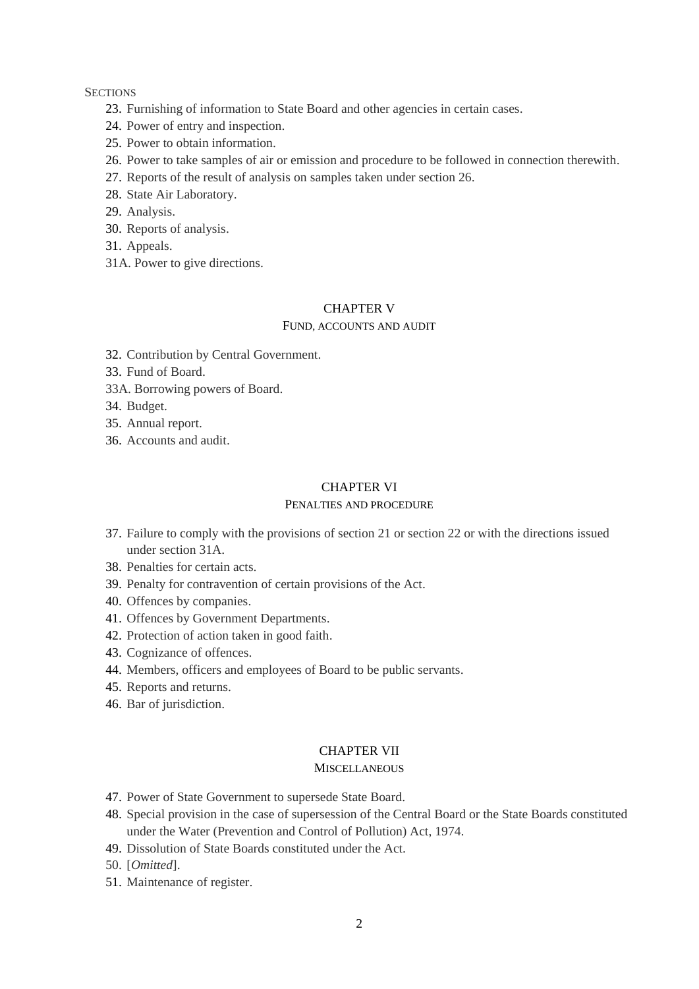### **SECTIONS**

- 23. Furnishing of information to State Board and other agencies in certain cases.
- 24. Power of entry and inspection.
- 25. Power to obtain information.
- 26. Power to take samples of air or emission and procedure to be followed in connection therewith.
- 27. Reports of the result of analysis on samples taken under section 26.
- 28. State Air Laboratory.
- 29. Analysis.
- 30. Reports of analysis.
- 31. Appeals.
- 31A. Power to give directions.

# CHAPTER V

### FUND, ACCOUNTS AND AUDIT

- 32. Contribution by Central Government.
- 33. Fund of Board.
- 33A. Borrowing powers of Board.
- 34. Budget.
- 35. Annual report.
- 36. Accounts and audit.

## CHAPTER VI

# PENALTIES AND PROCEDURE

- 37. Failure to comply with the provisions of section 21 or section 22 or with the directions issued under section 31A.
- 38. Penalties for certain acts.
- 39. Penalty for contravention of certain provisions of the Act.
- 40. Offences by companies.
- 41. Offences by Government Departments.
- 42. Protection of action taken in good faith.
- 43. Cognizance of offences.
- 44. Members, officers and employees of Board to be public servants.
- 45. Reports and returns.
- 46. Bar of jurisdiction.

# CHAPTER VII

### **MISCELLANEOUS**

- 47. Power of State Government to supersede State Board.
- 48. Special provision in the case of supersession of the Central Board or the State Boards constituted under the Water (Prevention and Control of Pollution) Act, 1974.
- 49. Dissolution of State Boards constituted under the Act.

50. [*Omitted*].

51. Maintenance of register.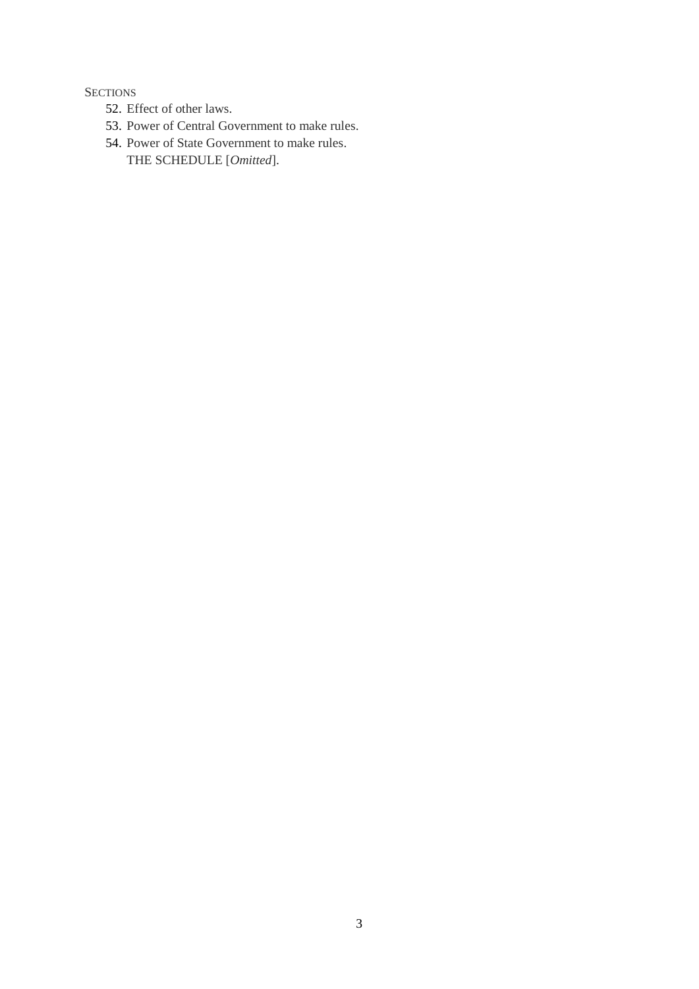# **SECTIONS**

- 52. Effect of other laws.
- 53. Power of Central Government to make rules.
- 54. Power of State Government to make rules.
	- THE SCHEDULE [*Omitted*].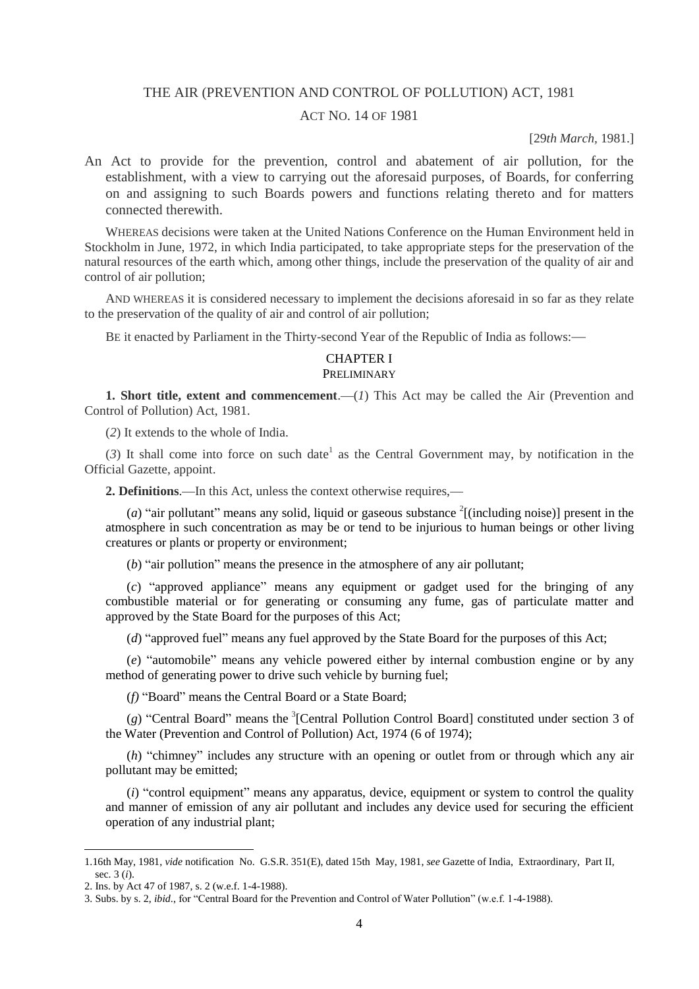### THE AIR (PREVENTION AND CONTROL OF POLLUTION) ACT, 1981

# ACT NO. 14 OF 1981

[29*th March,* 1981.]

An Act to provide for the prevention, control and abatement of air pollution, for the establishment, with a view to carrying out the aforesaid purposes, of Boards, for conferring on and assigning to such Boards powers and functions relating thereto and for matters connected therewith.

WHEREAS decisions were taken at the United Nations Conference on the Human Environment held in Stockholm in June, 1972, in which India participated, to take appropriate steps for the preservation of the natural resources of the earth which, among other things, include the preservation of the quality of air and control of air pollution;

AND WHEREAS it is considered necessary to implement the decisions aforesaid in so far as they relate to the preservation of the quality of air and control of air pollution;

BE it enacted by Parliament in the Thirty-second Year of the Republic of India as follows:—

### CHAPTER I PRELIMINARY

**1. Short title, extent and commencement.**—(*I*) This Act may be called the Air (Prevention and Control of Pollution) Act, 1981.

(*2*) It extends to the whole of India.

 $(3)$  It shall come into force on such date<sup>1</sup> as the Central Government may, by notification in the Official Gazette, appoint.

**2. Definitions**.—In this Act, unless the context otherwise requires,—

(*a*) "air pollutant" means any solid, liquid or gaseous substance  $\frac{2}{2}$ [(including noise)] present in the atmosphere in such concentration as may be or tend to be injurious to human beings or other living creatures or plants or property or environment;

(*b*) "air pollution" means the presence in the atmosphere of any air pollutant;

(*c*) "approved appliance" means any equipment or gadget used for the bringing of any combustible material or for generating or consuming any fume, gas of particulate matter and approved by the State Board for the purposes of this Act;

(*d*) "approved fuel" means any fuel approved by the State Board for the purposes of this Act;

(*e*) "automobile" means any vehicle powered either by internal combustion engine or by any method of generating power to drive such vehicle by burning fuel;

(*f*) "Board" means the Central Board or a State Board;

(g) "Central Board" means the <sup>3</sup>[Central Pollution Control Board] constituted under section 3 of the Water (Prevention and Control of Pollution) Act, 1974 (6 of 1974);

(*h*) "chimney" includes any structure with an opening or outlet from or through which any air pollutant may be emitted;

(*i*) "control equipment" means any apparatus, device, equipment or system to control the quality and manner of emission of any air pollutant and includes any device used for securing the efficient operation of any industrial plant;

<sup>1.16</sup>th May, 1981, *vide* notification No. G.S.R. 351(E), dated 15th May, 1981, *see* Gazette of India, Extraordinary, Part II, sec. 3 (*i*).

<sup>2.</sup> Ins. by Act 47 of 1987, s. 2 (w.e.f. 1-4-1988).

<sup>3.</sup> Subs. by s. 2, *ibid*., for "Central Board for the Prevention and Control of Water Pollution" (w.e.f. 1-4-1988).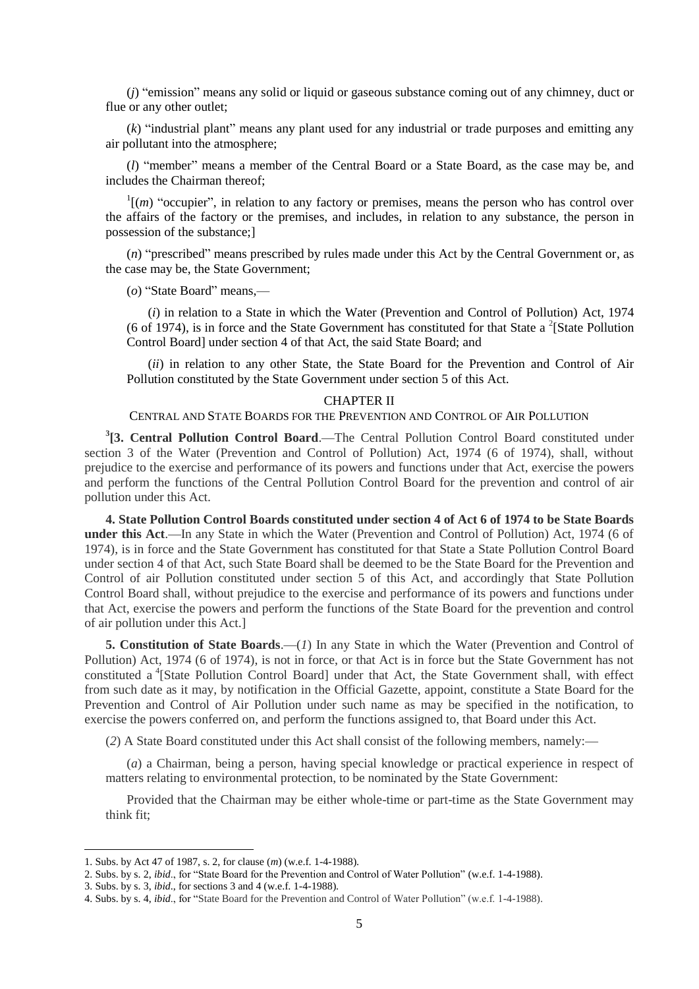(*j*) "emission" means any solid or liquid or gaseous substance coming out of any chimney, duct or flue or any other outlet;

(*k*) "industrial plant" means any plant used for any industrial or trade purposes and emitting any air pollutant into the atmosphere;

(*l*) "member" means a member of the Central Board or a State Board, as the case may be, and includes the Chairman thereof;

 $\Gamma$ [*(m)* "occupier", in relation to any factory or premises, means the person who has control over the affairs of the factory or the premises, and includes, in relation to any substance, the person in possession of the substance;]

(*n*) "prescribed" means prescribed by rules made under this Act by the Central Government or, as the case may be, the State Government;

(*o*) "State Board" means,—

(*i*) in relation to a State in which the Water (Prevention and Control of Pollution) Act, 1974 (6 of 1974), is in force and the State Government has constituted for that State a  $2$ [State Pollution Control Board] under section 4 of that Act, the said State Board; and

(*ii*) in relation to any other State, the State Board for the Prevention and Control of Air Pollution constituted by the State Government under section 5 of this Act.

#### CHAPTER II

#### CENTRAL AND STATE BOARDS FOR THE PREVENTION AND CONTROL OF AIR POLLUTION

**3 [3. Central Pollution Control Board**.—The Central Pollution Control Board constituted under section 3 of the Water (Prevention and Control of Pollution) Act, 1974 (6 of 1974), shall, without prejudice to the exercise and performance of its powers and functions under that Act, exercise the powers and perform the functions of the Central Pollution Control Board for the prevention and control of air pollution under this Act.

**4. State Pollution Control Boards constituted under section 4 of Act 6 of 1974 to be State Boards under this Act**.—In any State in which the Water (Prevention and Control of Pollution) Act, 1974 (6 of 1974), is in force and the State Government has constituted for that State a State Pollution Control Board under section 4 of that Act, such State Board shall be deemed to be the State Board for the Prevention and Control of air Pollution constituted under section 5 of this Act, and accordingly that State Pollution Control Board shall, without prejudice to the exercise and performance of its powers and functions under that Act, exercise the powers and perform the functions of the State Board for the prevention and control of air pollution under this Act.]

**5. Constitution of State Boards**.—(*1*) In any State in which the Water (Prevention and Control of Pollution) Act, 1974 (6 of 1974), is not in force, or that Act is in force but the State Government has not constituted a <sup>4</sup>[State Pollution Control Board] under that Act, the State Government shall, with effect from such date as it may, by notification in the Official Gazette, appoint, constitute a State Board for the Prevention and Control of Air Pollution under such name as may be specified in the notification, to exercise the powers conferred on, and perform the functions assigned to, that Board under this Act.

(*2*) A State Board constituted under this Act shall consist of the following members, namely:—

(*a*) a Chairman, being a person, having special knowledge or practical experience in respect of matters relating to environmental protection, to be nominated by the State Government:

Provided that the Chairman may be either whole-time or part-time as the State Government may think fit;

<sup>1.</sup> Subs. by Act 47 of 1987, s. 2, for clause (*m*) (w.e.f. 1-4-1988).

<sup>2.</sup> Subs. by s. 2, *ibid*., for "State Board for the Prevention and Control of Water Pollution" (w.e.f. 1-4-1988).

<sup>3.</sup> Subs. by s. 3, *ibid*., for sections 3 and 4 (w.e.f. 1-4-1988).

<sup>4.</sup> Subs. by s. 4, *ibid*., for "State Board for the Prevention and Control of Water Pollution" (w.e.f. 1-4-1988).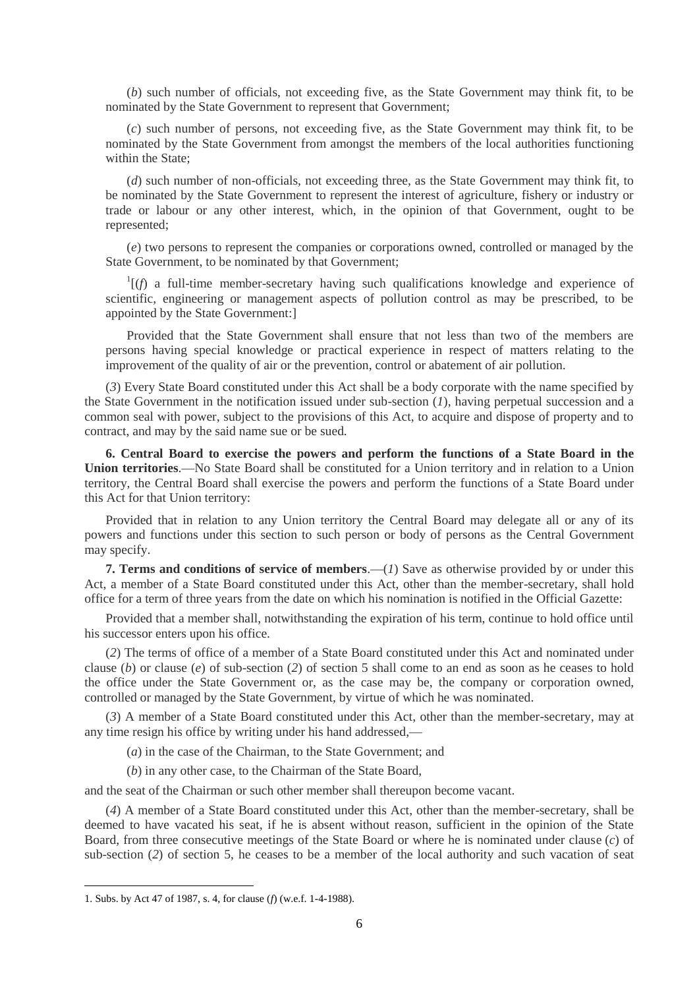(*b*) such number of officials, not exceeding five, as the State Government may think fit, to be nominated by the State Government to represent that Government;

(*c*) such number of persons, not exceeding five, as the State Government may think fit, to be nominated by the State Government from amongst the members of the local authorities functioning within the State;

(*d*) such number of non-officials, not exceeding three, as the State Government may think fit, to be nominated by the State Government to represent the interest of agriculture, fishery or industry or trade or labour or any other interest, which, in the opinion of that Government, ought to be represented;

(*e*) two persons to represent the companies or corporations owned, controlled or managed by the State Government, to be nominated by that Government;

 $I(f)$  a full-time member-secretary having such qualifications knowledge and experience of scientific, engineering or management aspects of pollution control as may be prescribed, to be appointed by the State Government:]

Provided that the State Government shall ensure that not less than two of the members are persons having special knowledge or practical experience in respect of matters relating to the improvement of the quality of air or the prevention, control or abatement of air pollution.

(*3*) Every State Board constituted under this Act shall be a body corporate with the name specified by the State Government in the notification issued under sub-section (*1*), having perpetual succession and a common seal with power, subject to the provisions of this Act, to acquire and dispose of property and to contract, and may by the said name sue or be sued.

**6. Central Board to exercise the powers and perform the functions of a State Board in the Union territories**.—No State Board shall be constituted for a Union territory and in relation to a Union territory, the Central Board shall exercise the powers and perform the functions of a State Board under this Act for that Union territory:

Provided that in relation to any Union territory the Central Board may delegate all or any of its powers and functions under this section to such person or body of persons as the Central Government may specify.

**7. Terms and conditions of service of members**.—(*1*) Save as otherwise provided by or under this Act, a member of a State Board constituted under this Act, other than the member-secretary, shall hold office for a term of three years from the date on which his nomination is notified in the Official Gazette:

Provided that a member shall, notwithstanding the expiration of his term, continue to hold office until his successor enters upon his office.

(*2*) The terms of office of a member of a State Board constituted under this Act and nominated under clause (*b*) or clause (*e*) of sub-section (*2*) of section 5 shall come to an end as soon as he ceases to hold the office under the State Government or, as the case may be, the company or corporation owned, controlled or managed by the State Government, by virtue of which he was nominated.

(*3*) A member of a State Board constituted under this Act, other than the member-secretary, may at any time resign his office by writing under his hand addressed,—

(*a*) in the case of the Chairman, to the State Government; and

(*b*) in any other case, to the Chairman of the State Board,

and the seat of the Chairman or such other member shall thereupon become vacant.

(*4*) A member of a State Board constituted under this Act, other than the member-secretary, shall be deemed to have vacated his seat, if he is absent without reason, sufficient in the opinion of the State Board, from three consecutive meetings of the State Board or where he is nominated under clause (*c*) of sub-section (*2*) of section 5, he ceases to be a member of the local authority and such vacation of seat

<sup>1.</sup> Subs. by Act 47 of 1987, s. 4, for clause (*f*) (w.e.f. 1-4-1988).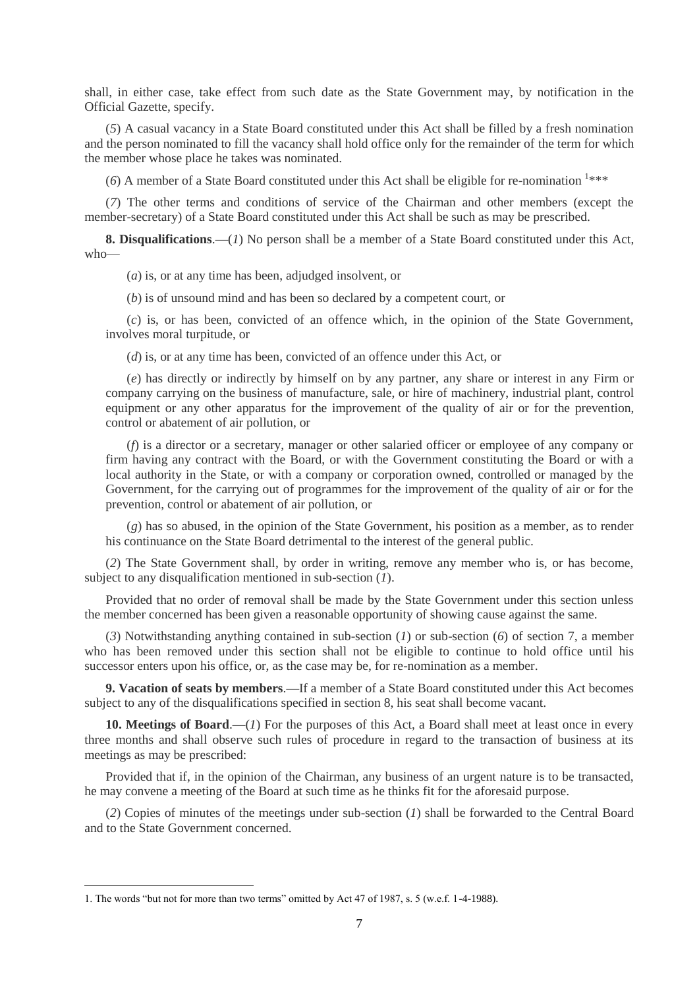shall, in either case, take effect from such date as the State Government may, by notification in the Official Gazette, specify.

(*5*) A casual vacancy in a State Board constituted under this Act shall be filled by a fresh nomination and the person nominated to fill the vacancy shall hold office only for the remainder of the term for which the member whose place he takes was nominated.

 $(6)$  A member of a State Board constituted under this Act shall be eligible for re-nomination  $1***$ 

(*7*) The other terms and conditions of service of the Chairman and other members (except the member-secretary) of a State Board constituted under this Act shall be such as may be prescribed.

**8. Disqualifications**.—(*1*) No person shall be a member of a State Board constituted under this Act, who—

(*a*) is, or at any time has been, adjudged insolvent, or

(*b*) is of unsound mind and has been so declared by a competent court, or

(*c*) is, or has been, convicted of an offence which, in the opinion of the State Government, involves moral turpitude, or

(*d*) is, or at any time has been, convicted of an offence under this Act, or

(*e*) has directly or indirectly by himself on by any partner, any share or interest in any Firm or company carrying on the business of manufacture, sale, or hire of machinery, industrial plant, control equipment or any other apparatus for the improvement of the quality of air or for the prevention, control or abatement of air pollution, or

(*f*) is a director or a secretary, manager or other salaried officer or employee of any company or firm having any contract with the Board, or with the Government constituting the Board or with a local authority in the State, or with a company or corporation owned, controlled or managed by the Government, for the carrying out of programmes for the improvement of the quality of air or for the prevention, control or abatement of air pollution, or

(*g*) has so abused, in the opinion of the State Government, his position as a member, as to render his continuance on the State Board detrimental to the interest of the general public.

(*2*) The State Government shall, by order in writing, remove any member who is, or has become, subject to any disqualification mentioned in sub-section (*1*).

Provided that no order of removal shall be made by the State Government under this section unless the member concerned has been given a reasonable opportunity of showing cause against the same.

(*3*) Notwithstanding anything contained in sub-section (*1*) or sub-section (*6*) of section 7, a member who has been removed under this section shall not be eligible to continue to hold office until his successor enters upon his office, or, as the case may be, for re-nomination as a member.

**9. Vacation of seats by members**.—If a member of a State Board constituted under this Act becomes subject to any of the disqualifications specified in section 8, his seat shall become vacant.

**10. Meetings of Board**.—(*1*) For the purposes of this Act, a Board shall meet at least once in every three months and shall observe such rules of procedure in regard to the transaction of business at its meetings as may be prescribed:

Provided that if, in the opinion of the Chairman, any business of an urgent nature is to be transacted, he may convene a meeting of the Board at such time as he thinks fit for the aforesaid purpose.

(*2*) Copies of minutes of the meetings under sub-section (*1*) shall be forwarded to the Central Board and to the State Government concerned.

<sup>1.</sup> The words "but not for more than two terms" omitted by Act 47 of 1987, s. 5 (w.e.f. 1-4-1988).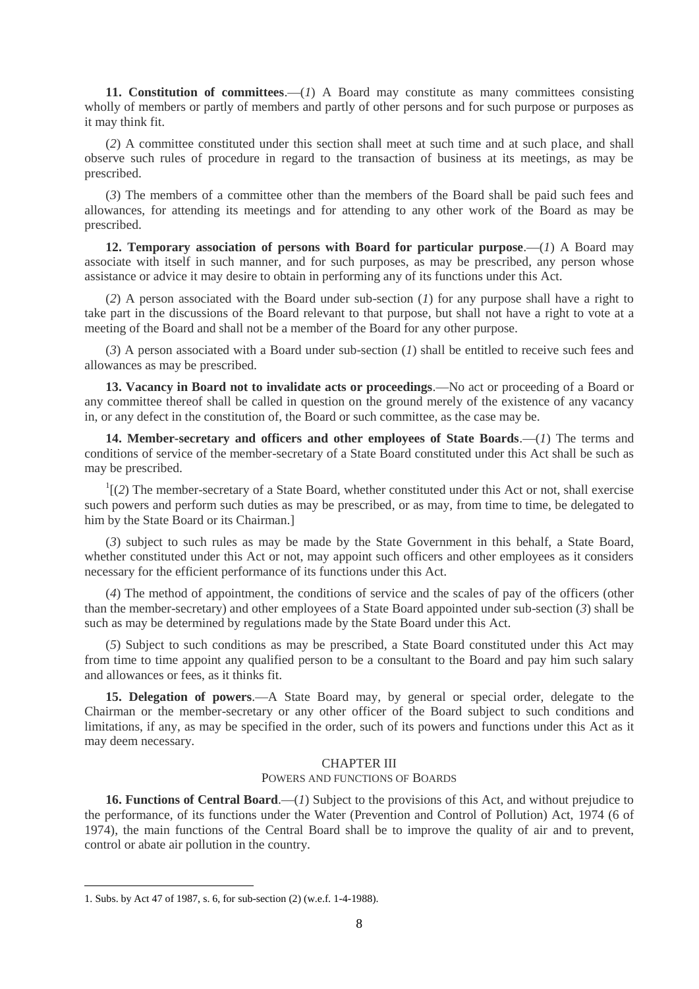**11. Constitution of committees.**—(*1*) A Board may constitute as many committees consisting wholly of members or partly of members and partly of other persons and for such purpose or purposes as it may think fit.

(*2*) A committee constituted under this section shall meet at such time and at such place, and shall observe such rules of procedure in regard to the transaction of business at its meetings, as may be prescribed.

(*3*) The members of a committee other than the members of the Board shall be paid such fees and allowances, for attending its meetings and for attending to any other work of the Board as may be prescribed.

**12. Temporary association of persons with Board for particular purpose.—(***1***) A Board may** associate with itself in such manner, and for such purposes, as may be prescribed, any person whose assistance or advice it may desire to obtain in performing any of its functions under this Act.

(*2*) A person associated with the Board under sub-section (*1*) for any purpose shall have a right to take part in the discussions of the Board relevant to that purpose, but shall not have a right to vote at a meeting of the Board and shall not be a member of the Board for any other purpose.

(*3*) A person associated with a Board under sub-section (*1*) shall be entitled to receive such fees and allowances as may be prescribed.

**13. Vacancy in Board not to invalidate acts or proceedings**.—No act or proceeding of a Board or any committee thereof shall be called in question on the ground merely of the existence of any vacancy in, or any defect in the constitution of, the Board or such committee, as the case may be.

**14. Member-secretary and officers and other employees of State Boards**.—(*1*) The terms and conditions of service of the member-secretary of a State Board constituted under this Act shall be such as may be prescribed.

 $\frac{1}{2}$  (2) The member-secretary of a State Board, whether constituted under this Act or not, shall exercise such powers and perform such duties as may be prescribed, or as may, from time to time, be delegated to him by the State Board or its Chairman.]

(*3*) subject to such rules as may be made by the State Government in this behalf, a State Board, whether constituted under this Act or not, may appoint such officers and other employees as it considers necessary for the efficient performance of its functions under this Act.

(*4*) The method of appointment, the conditions of service and the scales of pay of the officers (other than the member-secretary) and other employees of a State Board appointed under sub-section (*3*) shall be such as may be determined by regulations made by the State Board under this Act.

(*5*) Subject to such conditions as may be prescribed, a State Board constituted under this Act may from time to time appoint any qualified person to be a consultant to the Board and pay him such salary and allowances or fees, as it thinks fit.

**15. Delegation of powers**.—A State Board may, by general or special order, delegate to the Chairman or the member-secretary or any other officer of the Board subject to such conditions and limitations, if any, as may be specified in the order, such of its powers and functions under this Act as it may deem necessary.

### CHAPTER III

### POWERS AND FUNCTIONS OF BOARDS

**16. Functions of Central Board**.—(*1*) Subject to the provisions of this Act, and without prejudice to the performance, of its functions under the Water (Prevention and Control of Pollution) Act, 1974 (6 of 1974), the main functions of the Central Board shall be to improve the quality of air and to prevent, control or abate air pollution in the country.

<sup>1.</sup> Subs. by Act 47 of 1987, s. 6, for sub-section (2) (w.e.f. 1-4-1988).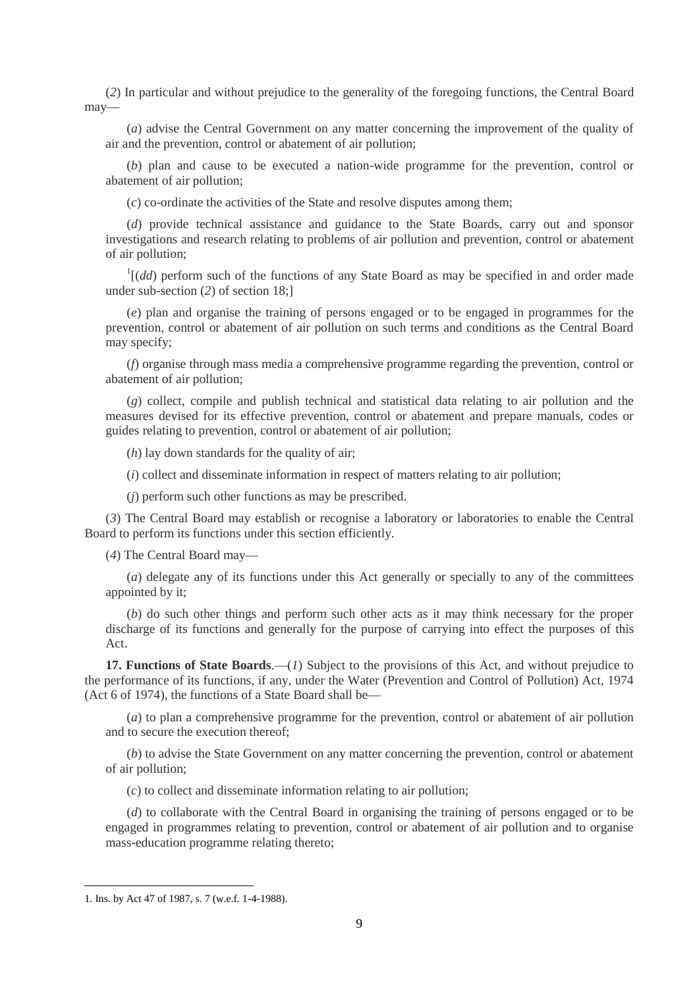(*2*) In particular and without prejudice to the generality of the foregoing functions, the Central Board may—

(*a*) advise the Central Government on any matter concerning the improvement of the quality of air and the prevention, control or abatement of air pollution;

(*b*) plan and cause to be executed a nation-wide programme for the prevention, control or abatement of air pollution;

(*c*) co-ordinate the activities of the State and resolve disputes among them;

(*d*) provide technical assistance and guidance to the State Boards, carry out and sponsor investigations and research relating to problems of air pollution and prevention, control or abatement of air pollution;

 $1[(dd)$  perform such of the functions of any State Board as may be specified in and order made under sub-section (*2*) of section 18;]

(*e*) plan and organise the training of persons engaged or to be engaged in programmes for the prevention, control or abatement of air pollution on such terms and conditions as the Central Board may specify;

(*f*) organise through mass media a comprehensive programme regarding the prevention, control or abatement of air pollution;

(*g*) collect, compile and publish technical and statistical data relating to air pollution and the measures devised for its effective prevention, control or abatement and prepare manuals, codes or guides relating to prevention, control or abatement of air pollution;

(*h*) lay down standards for the quality of air;

(*i*) collect and disseminate information in respect of matters relating to air pollution;

(*j*) perform such other functions as may be prescribed.

(*3*) The Central Board may establish or recognise a laboratory or laboratories to enable the Central Board to perform its functions under this section efficiently.

(*4*) The Central Board may—

(*a*) delegate any of its functions under this Act generally or specially to any of the committees appointed by it;

(*b*) do such other things and perform such other acts as it may think necessary for the proper discharge of its functions and generally for the purpose of carrying into effect the purposes of this Act.

**17. Functions of State Boards**.—(*1*) Subject to the provisions of this Act, and without prejudice to the performance of its functions, if any, under the Water (Prevention and Control of Pollution) Act, 1974 (Act 6 of 1974), the functions of a State Board shall be—

(*a*) to plan a comprehensive programme for the prevention, control or abatement of air pollution and to secure the execution thereof;

(*b*) to advise the State Government on any matter concerning the prevention, control or abatement of air pollution;

(*c*) to collect and disseminate information relating to air pollution;

(*d*) to collaborate with the Central Board in organising the training of persons engaged or to be engaged in programmes relating to prevention, control or abatement of air pollution and to organise mass-education programme relating thereto;

<sup>1.</sup> Ins. by Act 47 of 1987, s. 7 (w.e.f. 1-4-1988).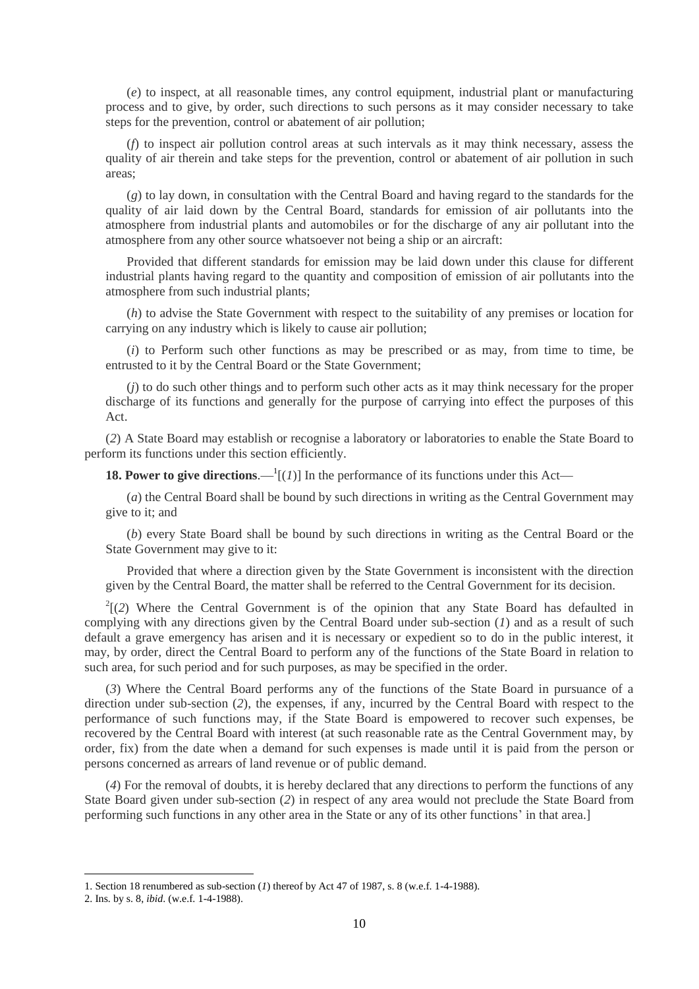(*e*) to inspect, at all reasonable times, any control equipment, industrial plant or manufacturing process and to give, by order, such directions to such persons as it may consider necessary to take steps for the prevention, control or abatement of air pollution;

(*f*) to inspect air pollution control areas at such intervals as it may think necessary, assess the quality of air therein and take steps for the prevention, control or abatement of air pollution in such areas;

(*g*) to lay down, in consultation with the Central Board and having regard to the standards for the quality of air laid down by the Central Board, standards for emission of air pollutants into the atmosphere from industrial plants and automobiles or for the discharge of any air pollutant into the atmosphere from any other source whatsoever not being a ship or an aircraft:

Provided that different standards for emission may be laid down under this clause for different industrial plants having regard to the quantity and composition of emission of air pollutants into the atmosphere from such industrial plants;

(*h*) to advise the State Government with respect to the suitability of any premises or location for carrying on any industry which is likely to cause air pollution;

(*i*) to Perform such other functions as may be prescribed or as may, from time to time, be entrusted to it by the Central Board or the State Government;

(*j*) to do such other things and to perform such other acts as it may think necessary for the proper discharge of its functions and generally for the purpose of carrying into effect the purposes of this Act.

(*2*) A State Board may establish or recognise a laboratory or laboratories to enable the State Board to perform its functions under this section efficiently.

**18. Power to give directions.**  $-1$ [(*1*)] In the performance of its functions under this Act—

(*a*) the Central Board shall be bound by such directions in writing as the Central Government may give to it; and

(*b*) every State Board shall be bound by such directions in writing as the Central Board or the State Government may give to it:

Provided that where a direction given by the State Government is inconsistent with the direction given by the Central Board, the matter shall be referred to the Central Government for its decision.

 $2^{2}$ [(2) Where the Central Government is of the opinion that any State Board has defaulted in complying with any directions given by the Central Board under sub-section (*1*) and as a result of such default a grave emergency has arisen and it is necessary or expedient so to do in the public interest, it may, by order, direct the Central Board to perform any of the functions of the State Board in relation to such area, for such period and for such purposes, as may be specified in the order.

(*3*) Where the Central Board performs any of the functions of the State Board in pursuance of a direction under sub-section (*2*), the expenses, if any, incurred by the Central Board with respect to the performance of such functions may, if the State Board is empowered to recover such expenses, be recovered by the Central Board with interest (at such reasonable rate as the Central Government may, by order, fix) from the date when a demand for such expenses is made until it is paid from the person or persons concerned as arrears of land revenue or of public demand.

(*4*) For the removal of doubts, it is hereby declared that any directions to perform the functions of any State Board given under sub-section (*2*) in respect of any area would not preclude the State Board from performing such functions in any other area in the State or any of its other functions' in that area.]

1

<sup>1.</sup> Section 18 renumbered as sub-section (*1*) thereof by Act 47 of 1987, s. 8 (w.e.f. 1-4-1988).

<sup>2.</sup> Ins. by s. 8, *ibid*. (w.e.f. 1-4-1988).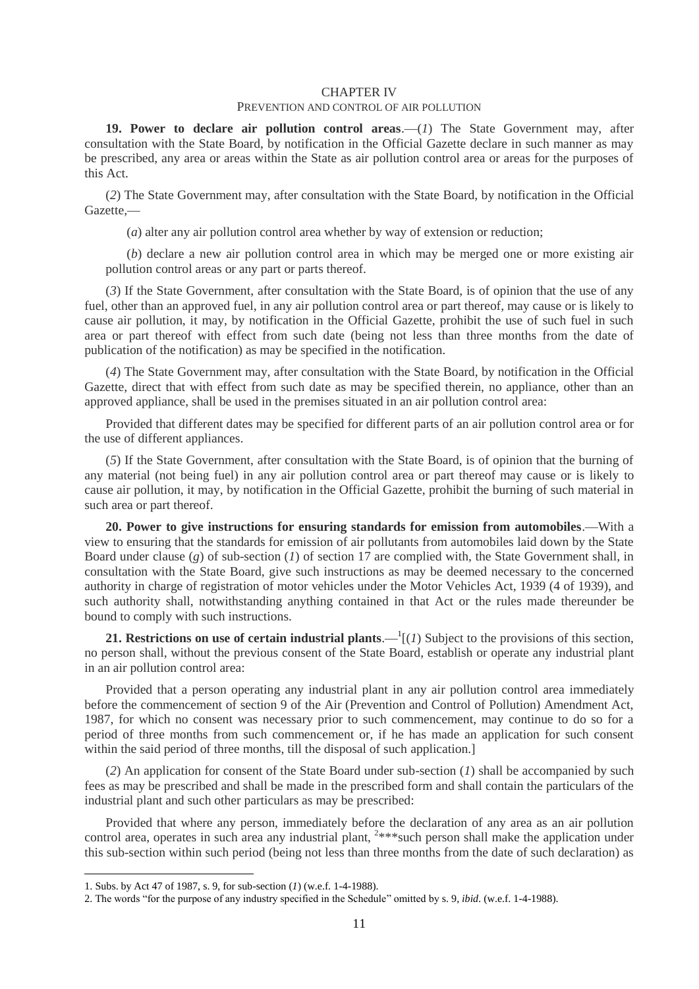#### CHAPTER IV

## PREVENTION AND CONTROL OF AIR POLLUTION

**19. Power to declare air pollution control areas**.—(*1*) The State Government may, after consultation with the State Board, by notification in the Official Gazette declare in such manner as may be prescribed, any area or areas within the State as air pollution control area or areas for the purposes of this Act.

(*2*) The State Government may, after consultation with the State Board, by notification in the Official Gazette,—

(*a*) alter any air pollution control area whether by way of extension or reduction;

(*b*) declare a new air pollution control area in which may be merged one or more existing air pollution control areas or any part or parts thereof.

(*3*) If the State Government, after consultation with the State Board, is of opinion that the use of any fuel, other than an approved fuel, in any air pollution control area or part thereof, may cause or is likely to cause air pollution, it may, by notification in the Official Gazette, prohibit the use of such fuel in such area or part thereof with effect from such date (being not less than three months from the date of publication of the notification) as may be specified in the notification.

(*4*) The State Government may, after consultation with the State Board, by notification in the Official Gazette, direct that with effect from such date as may be specified therein, no appliance, other than an approved appliance, shall be used in the premises situated in an air pollution control area:

Provided that different dates may be specified for different parts of an air pollution control area or for the use of different appliances.

(*5*) If the State Government, after consultation with the State Board, is of opinion that the burning of any material (not being fuel) in any air pollution control area or part thereof may cause or is likely to cause air pollution, it may, by notification in the Official Gazette, prohibit the burning of such material in such area or part thereof.

**20. Power to give instructions for ensuring standards for emission from automobiles**.—With a view to ensuring that the standards for emission of air pollutants from automobiles laid down by the State Board under clause (*g*) of sub-section (*1*) of section 17 are complied with, the State Government shall, in consultation with the State Board, give such instructions as may be deemed necessary to the concerned authority in charge of registration of motor vehicles under the Motor Vehicles Act, 1939 (4 of 1939), and such authority shall, notwithstanding anything contained in that Act or the rules made thereunder be bound to comply with such instructions.

**21. Restrictions on use of certain industrial plants.**  $\frac{1}{I}(I)$  **Subject to the provisions of this section,** no person shall, without the previous consent of the State Board, establish or operate any industrial plant in an air pollution control area:

Provided that a person operating any industrial plant in any air pollution control area immediately before the commencement of section 9 of the Air (Prevention and Control of Pollution) Amendment Act, 1987, for which no consent was necessary prior to such commencement, may continue to do so for a period of three months from such commencement or, if he has made an application for such consent within the said period of three months, till the disposal of such application.]

(*2*) An application for consent of the State Board under sub-section (*1*) shall be accompanied by such fees as may be prescribed and shall be made in the prescribed form and shall contain the particulars of the industrial plant and such other particulars as may be prescribed:

Provided that where any person, immediately before the declaration of any area as an air pollution control area, operates in such area any industrial plant, <sup>2\*\*\*</sup>such person shall make the application under this sub-section within such period (being not less than three months from the date of such declaration) as

1

<sup>1.</sup> Subs. by Act 47 of 1987, s. 9, for sub-section (*1*) (w.e.f. 1-4-1988).

<sup>2.</sup> The words "for the purpose of any industry specified in the Schedule" omitted by s. 9, *ibid*. (w.e.f. 1-4-1988).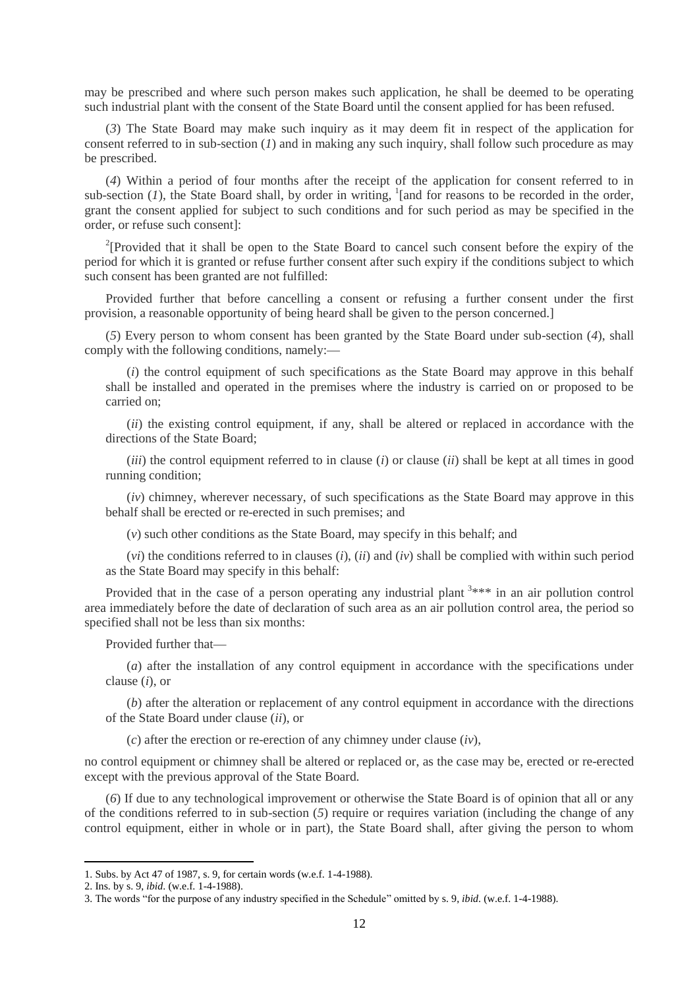may be prescribed and where such person makes such application, he shall be deemed to be operating such industrial plant with the consent of the State Board until the consent applied for has been refused.

(*3*) The State Board may make such inquiry as it may deem fit in respect of the application for consent referred to in sub-section (*1*) and in making any such inquiry, shall follow such procedure as may be prescribed.

(*4*) Within a period of four months after the receipt of the application for consent referred to in sub-section  $(1)$ , the State Board shall, by order in writing, <sup>1</sup>[and for reasons to be recorded in the order, grant the consent applied for subject to such conditions and for such period as may be specified in the order, or refuse such consent]:

<sup>2</sup>[Provided that it shall be open to the State Board to cancel such consent before the expiry of the period for which it is granted or refuse further consent after such expiry if the conditions subject to which such consent has been granted are not fulfilled:

Provided further that before cancelling a consent or refusing a further consent under the first provision, a reasonable opportunity of being heard shall be given to the person concerned.]

(*5*) Every person to whom consent has been granted by the State Board under sub-section (*4*), shall comply with the following conditions, namely:—

(*i*) the control equipment of such specifications as the State Board may approve in this behalf shall be installed and operated in the premises where the industry is carried on or proposed to be carried on;

(*ii*) the existing control equipment, if any, shall be altered or replaced in accordance with the directions of the State Board;

(*iii*) the control equipment referred to in clause (*i*) or clause (*ii*) shall be kept at all times in good running condition;

(*iv*) chimney, wherever necessary, of such specifications as the State Board may approve in this behalf shall be erected or re-erected in such premises; and

(*v*) such other conditions as the State Board, may specify in this behalf; and

(*vi*) the conditions referred to in clauses (*i*), (*ii*) and (*iv*) shall be complied with within such period as the State Board may specify in this behalf:

Provided that in the case of a person operating any industrial plant  $3***$  in an air pollution control area immediately before the date of declaration of such area as an air pollution control area, the period so specified shall not be less than six months:

Provided further that—

(*a*) after the installation of any control equipment in accordance with the specifications under clause (*i*), or

(*b*) after the alteration or replacement of any control equipment in accordance with the directions of the State Board under clause (*ii*), or

(*c*) after the erection or re-erection of any chimney under clause (*iv*),

no control equipment or chimney shall be altered or replaced or, as the case may be, erected or re-erected except with the previous approval of the State Board.

(*6*) If due to any technological improvement or otherwise the State Board is of opinion that all or any of the conditions referred to in sub-section (*5*) require or requires variation (including the change of any control equipment, either in whole or in part), the State Board shall, after giving the person to whom

<sup>1.</sup> Subs. by Act 47 of 1987, s. 9, for certain words (w.e.f. 1-4-1988).

<sup>2.</sup> Ins. by s. 9, *ibid*. (w.e.f. 1-4-1988).

<sup>3.</sup> The words "for the purpose of any industry specified in the Schedule" omitted by s. 9, *ibid*. (w.e.f. 1-4-1988).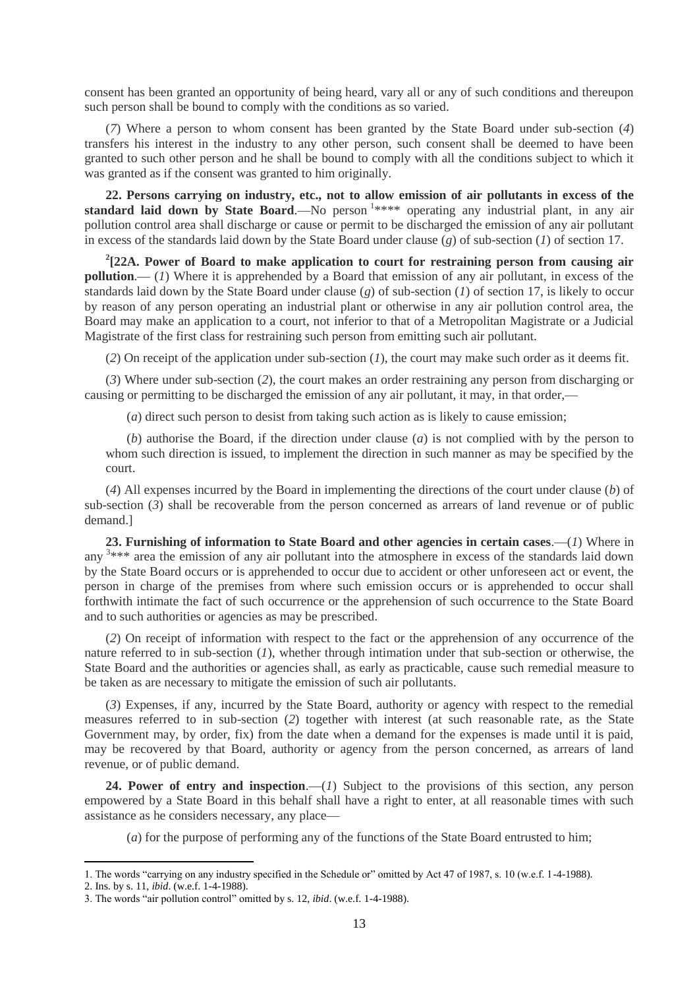consent has been granted an opportunity of being heard, vary all or any of such conditions and thereupon such person shall be bound to comply with the conditions as so varied.

(*7*) Where a person to whom consent has been granted by the State Board under sub-section (*4*) transfers his interest in the industry to any other person, such consent shall be deemed to have been granted to such other person and he shall be bound to comply with all the conditions subject to which it was granted as if the consent was granted to him originally.

**22. Persons carrying on industry, etc., not to allow emission of air pollutants in excess of the**  standard laid down by State Board.—No person <sup>1</sup>\*\*\*\* operating any industrial plant, in any air pollution control area shall discharge or cause or permit to be discharged the emission of any air pollutant in excess of the standards laid down by the State Board under clause (*g*) of sub-section (*1*) of section 17.

**2 [22A. Power of Board to make application to court for restraining person from causing air pollution.**— (*1*) Where it is apprehended by a Board that emission of any air pollutant, in excess of the standards laid down by the State Board under clause (*g*) of sub-section (*1*) of section 17, is likely to occur by reason of any person operating an industrial plant or otherwise in any air pollution control area, the Board may make an application to a court, not inferior to that of a Metropolitan Magistrate or a Judicial Magistrate of the first class for restraining such person from emitting such air pollutant.

(*2*) On receipt of the application under sub-section (*1*), the court may make such order as it deems fit.

(*3*) Where under sub-section (*2*), the court makes an order restraining any person from discharging or causing or permitting to be discharged the emission of any air pollutant, it may, in that order,—

(*a*) direct such person to desist from taking such action as is likely to cause emission;

(*b*) authorise the Board, if the direction under clause (*a*) is not complied with by the person to whom such direction is issued, to implement the direction in such manner as may be specified by the court.

(*4*) All expenses incurred by the Board in implementing the directions of the court under clause (*b*) of sub-section (*3*) shall be recoverable from the person concerned as arrears of land revenue or of public demand.]

**23. Furnishing of information to State Board and other agencies in certain cases**.—(*1*) Where in any <sup>3\*\*\*</sup> area the emission of any air pollutant into the atmosphere in excess of the standards laid down by the State Board occurs or is apprehended to occur due to accident or other unforeseen act or event, the person in charge of the premises from where such emission occurs or is apprehended to occur shall forthwith intimate the fact of such occurrence or the apprehension of such occurrence to the State Board and to such authorities or agencies as may be prescribed.

(*2*) On receipt of information with respect to the fact or the apprehension of any occurrence of the nature referred to in sub-section (*1*), whether through intimation under that sub-section or otherwise, the State Board and the authorities or agencies shall, as early as practicable, cause such remedial measure to be taken as are necessary to mitigate the emission of such air pollutants.

(*3*) Expenses, if any, incurred by the State Board, authority or agency with respect to the remedial measures referred to in sub-section (*2*) together with interest (at such reasonable rate, as the State Government may, by order, fix) from the date when a demand for the expenses is made until it is paid, may be recovered by that Board, authority or agency from the person concerned, as arrears of land revenue, or of public demand.

24. Power of entry and inspection.—(*1*) Subject to the provisions of this section, any person empowered by a State Board in this behalf shall have a right to enter, at all reasonable times with such assistance as he considers necessary, any place—

(*a*) for the purpose of performing any of the functions of the State Board entrusted to him;

<sup>1.</sup> The words "carrying on any industry specified in the Schedule or" omitted by Act 47 of 1987, s. 10 (w.e.f. 1-4-1988).

<sup>2.</sup> Ins. by s. 11, *ibid*. (w.e.f. 1-4-1988).

<sup>3.</sup> The words "air pollution control" omitted by s. 12, *ibid*. (w.e.f. 1-4-1988).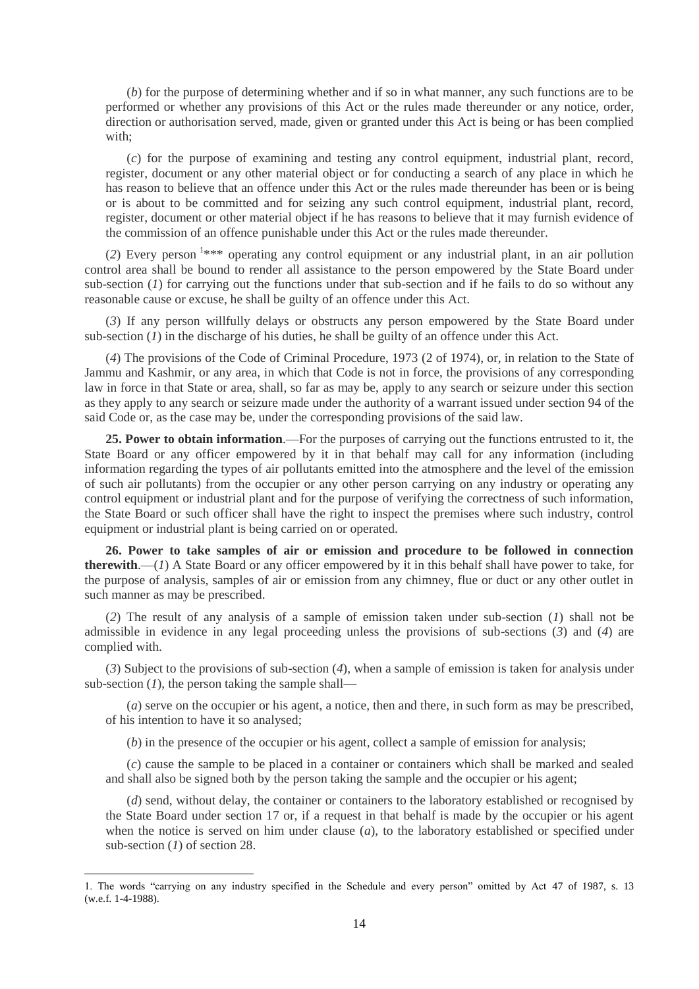(*b*) for the purpose of determining whether and if so in what manner, any such functions are to be performed or whether any provisions of this Act or the rules made thereunder or any notice, order, direction or authorisation served, made, given or granted under this Act is being or has been complied with;

(*c*) for the purpose of examining and testing any control equipment, industrial plant, record, register, document or any other material object or for conducting a search of any place in which he has reason to believe that an offence under this Act or the rules made thereunder has been or is being or is about to be committed and for seizing any such control equipment, industrial plant, record, register, document or other material object if he has reasons to believe that it may furnish evidence of the commission of an offence punishable under this Act or the rules made thereunder.

(2) Every person <sup>1\*\*\*</sup> operating any control equipment or any industrial plant, in an air pollution control area shall be bound to render all assistance to the person empowered by the State Board under sub-section (*1*) for carrying out the functions under that sub-section and if he fails to do so without any reasonable cause or excuse, he shall be guilty of an offence under this Act.

(*3*) If any person willfully delays or obstructs any person empowered by the State Board under sub-section  $(I)$  in the discharge of his duties, he shall be guilty of an offence under this Act.

(*4*) The provisions of the Code of Criminal Procedure, 1973 (2 of 1974), or, in relation to the State of Jammu and Kashmir, or any area, in which that Code is not in force, the provisions of any corresponding law in force in that State or area, shall, so far as may be, apply to any search or seizure under this section as they apply to any search or seizure made under the authority of a warrant issued under section 94 of the said Code or, as the case may be, under the corresponding provisions of the said law.

**25. Power to obtain information**.—For the purposes of carrying out the functions entrusted to it, the State Board or any officer empowered by it in that behalf may call for any information (including information regarding the types of air pollutants emitted into the atmosphere and the level of the emission of such air pollutants) from the occupier or any other person carrying on any industry or operating any control equipment or industrial plant and for the purpose of verifying the correctness of such information, the State Board or such officer shall have the right to inspect the premises where such industry, control equipment or industrial plant is being carried on or operated.

**26. Power to take samples of air or emission and procedure to be followed in connection therewith**.—(*1*) A State Board or any officer empowered by it in this behalf shall have power to take, for the purpose of analysis, samples of air or emission from any chimney, flue or duct or any other outlet in such manner as may be prescribed.

(*2*) The result of any analysis of a sample of emission taken under sub-section (*1*) shall not be admissible in evidence in any legal proceeding unless the provisions of sub-sections (*3*) and (*4*) are complied with.

(*3*) Subject to the provisions of sub-section (*4*), when a sample of emission is taken for analysis under sub-section  $(1)$ , the person taking the sample shall—

(*a*) serve on the occupier or his agent, a notice, then and there, in such form as may be prescribed, of his intention to have it so analysed;

(*b*) in the presence of the occupier or his agent, collect a sample of emission for analysis;

(*c*) cause the sample to be placed in a container or containers which shall be marked and sealed and shall also be signed both by the person taking the sample and the occupier or his agent;

(*d*) send, without delay, the container or containers to the laboratory established or recognised by the State Board under section 17 or, if a request in that behalf is made by the occupier or his agent when the notice is served on him under clause (*a*), to the laboratory established or specified under sub-section (*1*) of section 28.

1

<sup>1.</sup> The words "carrying on any industry specified in the Schedule and every person" omitted by Act 47 of 1987, s. 13 (w.e.f. 1-4-1988).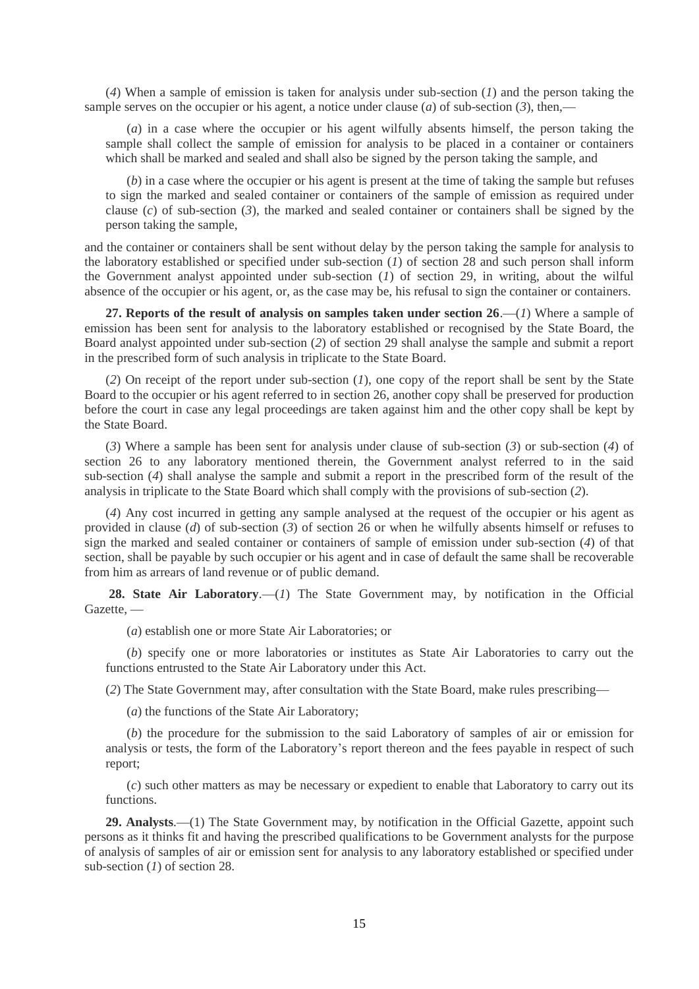(*4*) When a sample of emission is taken for analysis under sub-section (*1*) and the person taking the sample serves on the occupier or his agent, a notice under clause (*a*) of sub-section (*3*), then,—

(*a*) in a case where the occupier or his agent wilfully absents himself, the person taking the sample shall collect the sample of emission for analysis to be placed in a container or containers which shall be marked and sealed and shall also be signed by the person taking the sample, and

(*b*) in a case where the occupier or his agent is present at the time of taking the sample but refuses to sign the marked and sealed container or containers of the sample of emission as required under clause (*c*) of sub-section (*3*), the marked and sealed container or containers shall be signed by the person taking the sample,

and the container or containers shall be sent without delay by the person taking the sample for analysis to the laboratory established or specified under sub-section (*1*) of section 28 and such person shall inform the Government analyst appointed under sub-section (*1*) of section 29, in writing, about the wilful absence of the occupier or his agent, or, as the case may be, his refusal to sign the container or containers.

**27. Reports of the result of analysis on samples taken under section 26**.—(*1*) Where a sample of emission has been sent for analysis to the laboratory established or recognised by the State Board, the Board analyst appointed under sub-section (*2*) of section 29 shall analyse the sample and submit a report in the prescribed form of such analysis in triplicate to the State Board.

(*2*) On receipt of the report under sub-section (*1*), one copy of the report shall be sent by the State Board to the occupier or his agent referred to in section 26, another copy shall be preserved for production before the court in case any legal proceedings are taken against him and the other copy shall be kept by the State Board.

(*3*) Where a sample has been sent for analysis under clause of sub-section (*3*) or sub-section (*4*) of section 26 to any laboratory mentioned therein, the Government analyst referred to in the said sub-section (*4*) shall analyse the sample and submit a report in the prescribed form of the result of the analysis in triplicate to the State Board which shall comply with the provisions of sub-section (*2*).

(*4*) Any cost incurred in getting any sample analysed at the request of the occupier or his agent as provided in clause (*d*) of sub-section (*3*) of section 26 or when he wilfully absents himself or refuses to sign the marked and sealed container or containers of sample of emission under sub-section (*4*) of that section, shall be payable by such occupier or his agent and in case of default the same shall be recoverable from him as arrears of land revenue or of public demand.

**28. State Air Laboratory**.—(*1*) The State Government may, by notification in the Official Gazette, —

(*a*) establish one or more State Air Laboratories; or

(*b*) specify one or more laboratories or institutes as State Air Laboratories to carry out the functions entrusted to the State Air Laboratory under this Act.

(*2*) The State Government may, after consultation with the State Board, make rules prescribing—

(*a*) the functions of the State Air Laboratory;

(*b*) the procedure for the submission to the said Laboratory of samples of air or emission for analysis or tests, the form of the Laboratory's report thereon and the fees payable in respect of such report;

(*c*) such other matters as may be necessary or expedient to enable that Laboratory to carry out its functions.

**29. Analysts**.—(1) The State Government may, by notification in the Official Gazette, appoint such persons as it thinks fit and having the prescribed qualifications to be Government analysts for the purpose of analysis of samples of air or emission sent for analysis to any laboratory established or specified under sub-section (*1*) of section 28.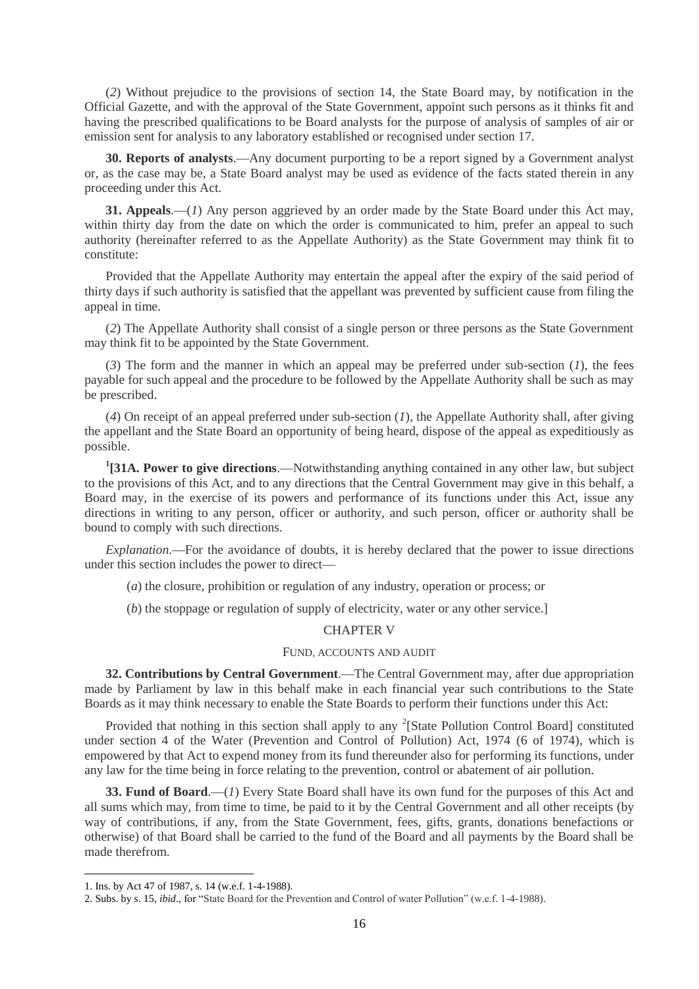(*2*) Without prejudice to the provisions of section 14, the State Board may, by notification in the Official Gazette, and with the approval of the State Government, appoint such persons as it thinks fit and having the prescribed qualifications to be Board analysts for the purpose of analysis of samples of air or emission sent for analysis to any laboratory established or recognised under section 17.

**30. Reports of analysts**.—Any document purporting to be a report signed by a Government analyst or, as the case may be, a State Board analyst may be used as evidence of the facts stated therein in any proceeding under this Act.

**31. Appeals**.—(*1*) Any person aggrieved by an order made by the State Board under this Act may, within thirty day from the date on which the order is communicated to him, prefer an appeal to such authority (hereinafter referred to as the Appellate Authority) as the State Government may think fit to constitute:

Provided that the Appellate Authority may entertain the appeal after the expiry of the said period of thirty days if such authority is satisfied that the appellant was prevented by sufficient cause from filing the appeal in time.

(*2*) The Appellate Authority shall consist of a single person or three persons as the State Government may think fit to be appointed by the State Government.

(*3*) The form and the manner in which an appeal may be preferred under sub-section (*1*), the fees payable for such appeal and the procedure to be followed by the Appellate Authority shall be such as may be prescribed.

(*4*) On receipt of an appeal preferred under sub-section (*1*), the Appellate Authority shall, after giving the appellant and the State Board an opportunity of being heard, dispose of the appeal as expeditiously as possible.

**1 [31A. Power to give directions**.—Notwithstanding anything contained in any other law, but subject to the provisions of this Act, and to any directions that the Central Government may give in this behalf, a Board may, in the exercise of its powers and performance of its functions under this Act, issue any directions in writing to any person, officer or authority, and such person, officer or authority shall be bound to comply with such directions.

*Explanation*.—For the avoidance of doubts, it is hereby declared that the power to issue directions under this section includes the power to direct—

(*a*) the closure, prohibition or regulation of any industry, operation or process; or

(*b*) the stoppage or regulation of supply of electricity, water or any other service.]

### CHAPTER V

### FUND, ACCOUNTS AND AUDIT

**32. Contributions by Central Government**.—The Central Government may, after due appropriation made by Parliament by law in this behalf make in each financial year such contributions to the State Boards as it may think necessary to enable the State Boards to perform their functions under this Act:

Provided that nothing in this section shall apply to any  $2$ [State Pollution Control Board] constituted under section 4 of the Water (Prevention and Control of Pollution) Act, 1974 (6 of 1974), which is empowered by that Act to expend money from its fund thereunder also for performing its functions, under any law for the time being in force relating to the prevention, control or abatement of air pollution.

**33. Fund of Board**.—(*1*) Every State Board shall have its own fund for the purposes of this Act and all sums which may, from time to time, be paid to it by the Central Government and all other receipts (by way of contributions, if any, from the State Government, fees, gifts, grants, donations benefactions or otherwise) of that Board shall be carried to the fund of the Board and all payments by the Board shall be made therefrom.

1

<sup>1.</sup> Ins. by Act 47 of 1987, s. 14 (w.e.f. 1-4-1988).

<sup>2.</sup> Subs. by s. 15, *ibid*., for "State Board for the Prevention and Control of water Pollution" (w.e.f. 1-4-1988).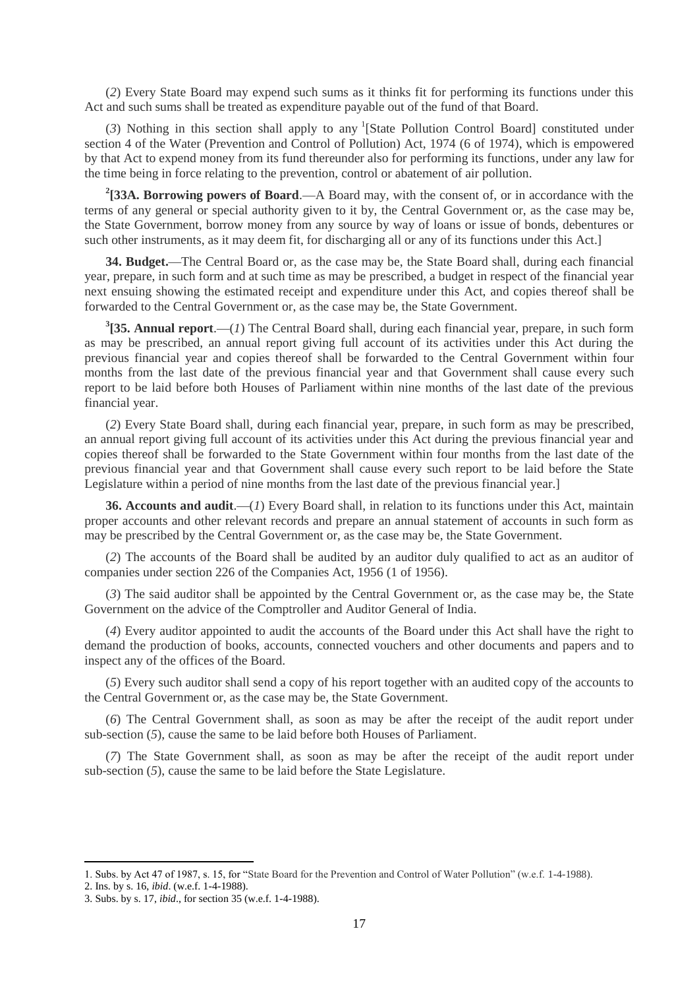(*2*) Every State Board may expend such sums as it thinks fit for performing its functions under this Act and such sums shall be treated as expenditure payable out of the fund of that Board.

(3) Nothing in this section shall apply to any <sup>1</sup>[State Pollution Control Board] constituted under section 4 of the Water (Prevention and Control of Pollution) Act, 1974 (6 of 1974), which is empowered by that Act to expend money from its fund thereunder also for performing its functions, under any law for the time being in force relating to the prevention, control or abatement of air pollution.

**2 [33A. Borrowing powers of Board**.—A Board may, with the consent of, or in accordance with the terms of any general or special authority given to it by, the Central Government or, as the case may be, the State Government, borrow money from any source by way of loans or issue of bonds, debentures or such other instruments, as it may deem fit, for discharging all or any of its functions under this Act.]

**34. Budget.**—The Central Board or, as the case may be, the State Board shall, during each financial year, prepare, in such form and at such time as may be prescribed, a budget in respect of the financial year next ensuing showing the estimated receipt and expenditure under this Act, and copies thereof shall be forwarded to the Central Government or, as the case may be, the State Government.

**3 [35. Annual report**.—(*1*) The Central Board shall, during each financial year, prepare, in such form as may be prescribed, an annual report giving full account of its activities under this Act during the previous financial year and copies thereof shall be forwarded to the Central Government within four months from the last date of the previous financial year and that Government shall cause every such report to be laid before both Houses of Parliament within nine months of the last date of the previous financial year.

(*2*) Every State Board shall, during each financial year, prepare, in such form as may be prescribed, an annual report giving full account of its activities under this Act during the previous financial year and copies thereof shall be forwarded to the State Government within four months from the last date of the previous financial year and that Government shall cause every such report to be laid before the State Legislature within a period of nine months from the last date of the previous financial year.]

**36. Accounts and audit**.—(*1*) Every Board shall, in relation to its functions under this Act, maintain proper accounts and other relevant records and prepare an annual statement of accounts in such form as may be prescribed by the Central Government or, as the case may be, the State Government.

(*2*) The accounts of the Board shall be audited by an auditor duly qualified to act as an auditor of companies under section 226 of the Companies Act, 1956 (1 of 1956).

(*3*) The said auditor shall be appointed by the Central Government or, as the case may be, the State Government on the advice of the Comptroller and Auditor General of India.

(*4*) Every auditor appointed to audit the accounts of the Board under this Act shall have the right to demand the production of books, accounts, connected vouchers and other documents and papers and to inspect any of the offices of the Board.

(*5*) Every such auditor shall send a copy of his report together with an audited copy of the accounts to the Central Government or, as the case may be, the State Government.

(*6*) The Central Government shall, as soon as may be after the receipt of the audit report under sub-section (*5*), cause the same to be laid before both Houses of Parliament.

(*7*) The State Government shall, as soon as may be after the receipt of the audit report under sub-section (*5*), cause the same to be laid before the State Legislature.

<sup>1.</sup> Subs. by Act 47 of 1987, s. 15, for "State Board for the Prevention and Control of Water Pollution" (w.e.f. 1-4-1988).

<sup>2.</sup> Ins. by s. 16, *ibid*. (w.e.f. 1-4-1988).

<sup>3.</sup> Subs. by s. 17, *ibid*., for section 35 (w.e.f. 1-4-1988).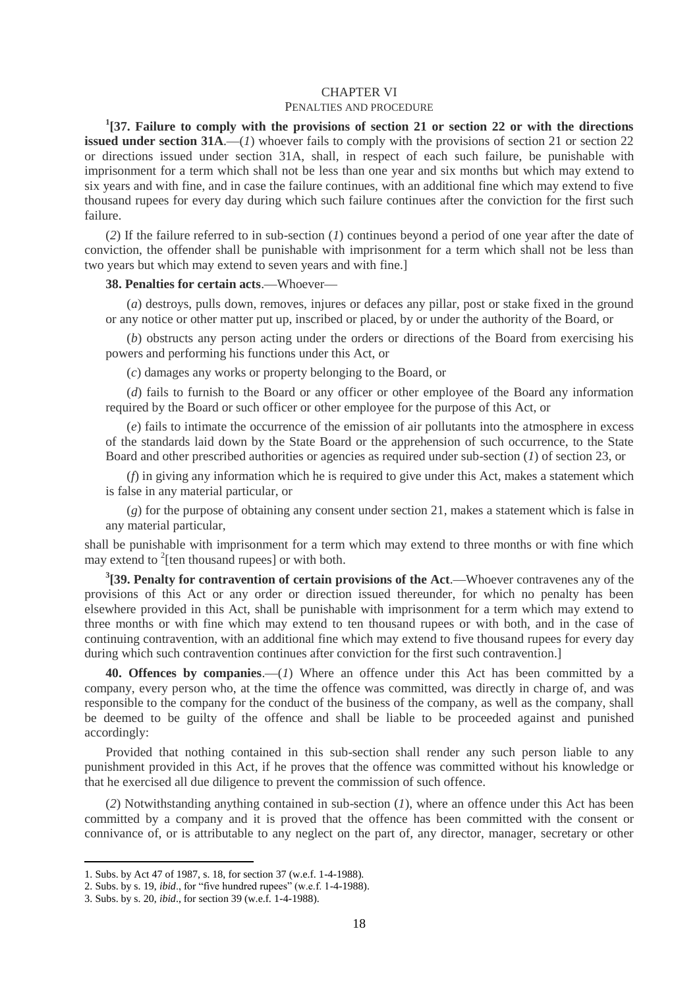#### CHAPTER VI

### PENALTIES AND PROCEDURE

**1 [37. Failure to comply with the provisions of section 21 or section 22 or with the directions issued under section 31A.—(***1***)** whoever fails to comply with the provisions of section 21 or section 22 or directions issued under section 31A, shall, in respect of each such failure, be punishable with imprisonment for a term which shall not be less than one year and six months but which may extend to six years and with fine, and in case the failure continues, with an additional fine which may extend to five thousand rupees for every day during which such failure continues after the conviction for the first such failure.

(*2*) If the failure referred to in sub-section (*1*) continues beyond a period of one year after the date of conviction, the offender shall be punishable with imprisonment for a term which shall not be less than two years but which may extend to seven years and with fine.]

### **38. Penalties for certain acts**.—Whoever—

(*a*) destroys, pulls down, removes, injures or defaces any pillar, post or stake fixed in the ground or any notice or other matter put up, inscribed or placed, by or under the authority of the Board, or

(*b*) obstructs any person acting under the orders or directions of the Board from exercising his powers and performing his functions under this Act, or

(*c*) damages any works or property belonging to the Board, or

(*d*) fails to furnish to the Board or any officer or other employee of the Board any information required by the Board or such officer or other employee for the purpose of this Act, or

(*e*) fails to intimate the occurrence of the emission of air pollutants into the atmosphere in excess of the standards laid down by the State Board or the apprehension of such occurrence, to the State Board and other prescribed authorities or agencies as required under sub-section (*1*) of section 23, or

(*f*) in giving any information which he is required to give under this Act, makes a statement which is false in any material particular, or

(*g*) for the purpose of obtaining any consent under section 21, makes a statement which is false in any material particular,

shall be punishable with imprisonment for a term which may extend to three months or with fine which may extend to  $2$ [ten thousand rupees] or with both.

**3 [39. Penalty for contravention of certain provisions of the Act**.—Whoever contravenes any of the provisions of this Act or any order or direction issued thereunder, for which no penalty has been elsewhere provided in this Act, shall be punishable with imprisonment for a term which may extend to three months or with fine which may extend to ten thousand rupees or with both, and in the case of continuing contravention, with an additional fine which may extend to five thousand rupees for every day during which such contravention continues after conviction for the first such contravention.]

**40. Offences by companies**.—(*1*) Where an offence under this Act has been committed by a company, every person who, at the time the offence was committed, was directly in charge of, and was responsible to the company for the conduct of the business of the company, as well as the company, shall be deemed to be guilty of the offence and shall be liable to be proceeded against and punished accordingly:

Provided that nothing contained in this sub-section shall render any such person liable to any punishment provided in this Act, if he proves that the offence was committed without his knowledge or that he exercised all due diligence to prevent the commission of such offence.

(*2*) Notwithstanding anything contained in sub-section (*1*), where an offence under this Act has been committed by a company and it is proved that the offence has been committed with the consent or connivance of, or is attributable to any neglect on the part of, any director, manager, secretary or other

<sup>1.</sup> Subs. by Act 47 of 1987, s. 18, for section 37 (w.e.f. 1-4-1988).

<sup>2.</sup> Subs. by s. 19, *ibid*., for "five hundred rupees" (w.e.f. 1-4-1988).

<sup>3.</sup> Subs. by s. 20, *ibid*., for section 39 (w.e.f. 1-4-1988).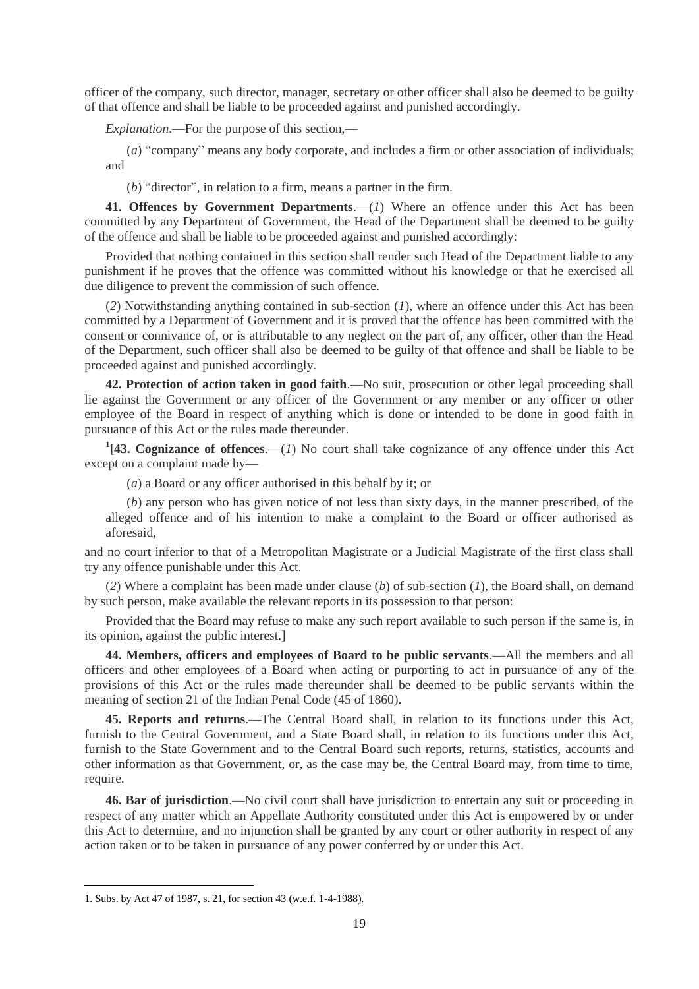officer of the company, such director, manager, secretary or other officer shall also be deemed to be guilty of that offence and shall be liable to be proceeded against and punished accordingly.

*Explanation*.—For the purpose of this section,—

(*a*) "company" means any body corporate, and includes a firm or other association of individuals; and

(*b*) "director", in relation to a firm, means a partner in the firm.

**41. Offences by Government Departments**.—(*1*) Where an offence under this Act has been committed by any Department of Government, the Head of the Department shall be deemed to be guilty of the offence and shall be liable to be proceeded against and punished accordingly:

Provided that nothing contained in this section shall render such Head of the Department liable to any punishment if he proves that the offence was committed without his knowledge or that he exercised all due diligence to prevent the commission of such offence.

(*2*) Notwithstanding anything contained in sub-section (*1*), where an offence under this Act has been committed by a Department of Government and it is proved that the offence has been committed with the consent or connivance of, or is attributable to any neglect on the part of, any officer, other than the Head of the Department, such officer shall also be deemed to be guilty of that offence and shall be liable to be proceeded against and punished accordingly.

**42. Protection of action taken in good faith**.—No suit, prosecution or other legal proceeding shall lie against the Government or any officer of the Government or any member or any officer or other employee of the Board in respect of anything which is done or intended to be done in good faith in pursuance of this Act or the rules made thereunder.

**1 [43. Cognizance of offences**.—(*1*) No court shall take cognizance of any offence under this Act except on a complaint made by—

(*a*) a Board or any officer authorised in this behalf by it; or

(*b*) any person who has given notice of not less than sixty days, in the manner prescribed, of the alleged offence and of his intention to make a complaint to the Board or officer authorised as aforesaid,

and no court inferior to that of a Metropolitan Magistrate or a Judicial Magistrate of the first class shall try any offence punishable under this Act.

(*2*) Where a complaint has been made under clause (*b*) of sub-section (*1*), the Board shall, on demand by such person, make available the relevant reports in its possession to that person:

Provided that the Board may refuse to make any such report available to such person if the same is, in its opinion, against the public interest.]

**44. Members, officers and employees of Board to be public servants**.—All the members and all officers and other employees of a Board when acting or purporting to act in pursuance of any of the provisions of this Act or the rules made thereunder shall be deemed to be public servants within the meaning of section 21 of the Indian Penal Code (45 of 1860).

**45. Reports and returns**.—The Central Board shall, in relation to its functions under this Act, furnish to the Central Government, and a State Board shall, in relation to its functions under this Act, furnish to the State Government and to the Central Board such reports, returns, statistics, accounts and other information as that Government, or, as the case may be, the Central Board may, from time to time, require.

**46. Bar of jurisdiction**.—No civil court shall have jurisdiction to entertain any suit or proceeding in respect of any matter which an Appellate Authority constituted under this Act is empowered by or under this Act to determine, and no injunction shall be granted by any court or other authority in respect of any action taken or to be taken in pursuance of any power conferred by or under this Act.

<sup>1.</sup> Subs. by Act 47 of 1987, s. 21, for section 43 (w.e.f. 1-4-1988).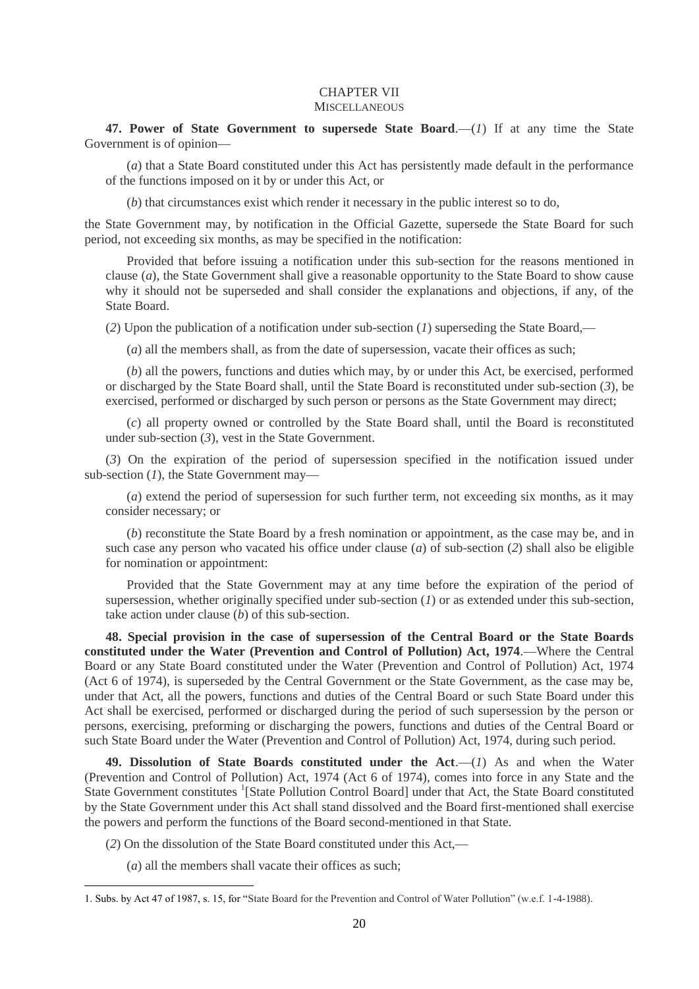### CHAPTER VII **MISCELLANEOUS**

**47. Power of State Government to supersede State Board**.—(*1*) If at any time the State Government is of opinion—

(*a*) that a State Board constituted under this Act has persistently made default in the performance of the functions imposed on it by or under this Act, or

(*b*) that circumstances exist which render it necessary in the public interest so to do,

the State Government may, by notification in the Official Gazette, supersede the State Board for such period, not exceeding six months, as may be specified in the notification:

Provided that before issuing a notification under this sub-section for the reasons mentioned in clause (*a*), the State Government shall give a reasonable opportunity to the State Board to show cause why it should not be superseded and shall consider the explanations and objections, if any, of the State Board.

(*2*) Upon the publication of a notification under sub-section (*1*) superseding the State Board,—

(*a*) all the members shall, as from the date of supersession, vacate their offices as such;

(*b*) all the powers, functions and duties which may, by or under this Act, be exercised, performed or discharged by the State Board shall, until the State Board is reconstituted under sub-section (*3*), be exercised, performed or discharged by such person or persons as the State Government may direct;

(*c*) all property owned or controlled by the State Board shall, until the Board is reconstituted under sub-section (*3*), vest in the State Government.

(*3*) On the expiration of the period of supersession specified in the notification issued under sub-section (*1*), the State Government may—

(*a*) extend the period of supersession for such further term, not exceeding six months, as it may consider necessary; or

(*b*) reconstitute the State Board by a fresh nomination or appointment, as the case may be, and in such case any person who vacated his office under clause (*a*) of sub-section (*2*) shall also be eligible for nomination or appointment:

Provided that the State Government may at any time before the expiration of the period of supersession, whether originally specified under sub-section (*1*) or as extended under this sub-section, take action under clause (*b*) of this sub-section.

**48. Special provision in the case of supersession of the Central Board or the State Boards constituted under the Water (Prevention and Control of Pollution) Act, 1974**.—Where the Central Board or any State Board constituted under the Water (Prevention and Control of Pollution) Act, 1974 (Act 6 of 1974), is superseded by the Central Government or the State Government, as the case may be, under that Act, all the powers, functions and duties of the Central Board or such State Board under this Act shall be exercised, performed or discharged during the period of such supersession by the person or persons, exercising, preforming or discharging the powers, functions and duties of the Central Board or such State Board under the Water (Prevention and Control of Pollution) Act, 1974, during such period.

**49. Dissolution of State Boards constituted under the Act**.—(*1*) As and when the Water (Prevention and Control of Pollution) Act, 1974 (Act 6 of 1974), comes into force in any State and the State Government constitutes <sup>1</sup>[State Pollution Control Board] under that Act, the State Board constituted by the State Government under this Act shall stand dissolved and the Board first-mentioned shall exercise the powers and perform the functions of the Board second-mentioned in that State.

(*2*) On the dissolution of the State Board constituted under this Act,—

(*a*) all the members shall vacate their offices as such;

<sup>1.</sup> Subs. by Act 47 of 1987, s. 15, for "State Board for the Prevention and Control of Water Pollution" (w.e.f. 1-4-1988).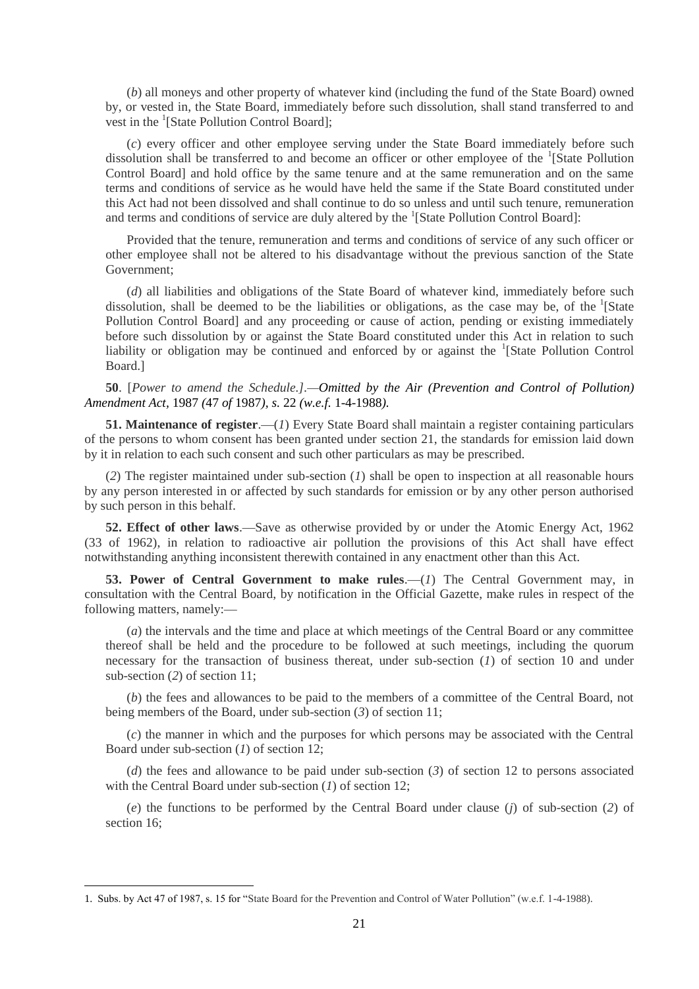(*b*) all moneys and other property of whatever kind (including the fund of the State Board) owned by, or vested in, the State Board, immediately before such dissolution, shall stand transferred to and vest in the <sup>1</sup>[State Pollution Control Board];

(*c*) every officer and other employee serving under the State Board immediately before such dissolution shall be transferred to and become an officer or other employee of the <sup>1</sup>[State Pollution Control Board] and hold office by the same tenure and at the same remuneration and on the same terms and conditions of service as he would have held the same if the State Board constituted under this Act had not been dissolved and shall continue to do so unless and until such tenure, remuneration and terms and conditions of service are duly altered by the  ${}^{1}$ [State Pollution Control Board]:

Provided that the tenure, remuneration and terms and conditions of service of any such officer or other employee shall not be altered to his disadvantage without the previous sanction of the State Government;

(*d*) all liabilities and obligations of the State Board of whatever kind, immediately before such dissolution, shall be deemed to be the liabilities or obligations, as the case may be, of the <sup>1</sup>[State Pollution Control Board] and any proceeding or cause of action, pending or existing immediately before such dissolution by or against the State Board constituted under this Act in relation to such liability or obligation may be continued and enforced by or against the <sup>1</sup>[State Pollution Control Board.]

**50**. [*Power to amend the Schedule.].—Omitted by the Air (Prevention and Control of Pollution) Amendment Act,* 1987 *(*47 *of* 1987*), s.* 22 *(w.e.f.* 1-4-1988*).*

**51. Maintenance of register**.—(*1*) Every State Board shall maintain a register containing particulars of the persons to whom consent has been granted under section 21, the standards for emission laid down by it in relation to each such consent and such other particulars as may be prescribed.

(*2*) The register maintained under sub-section (*1*) shall be open to inspection at all reasonable hours by any person interested in or affected by such standards for emission or by any other person authorised by such person in this behalf.

**52. Effect of other laws**.—Save as otherwise provided by or under the Atomic Energy Act, 1962 (33 of 1962), in relation to radioactive air pollution the provisions of this Act shall have effect notwithstanding anything inconsistent therewith contained in any enactment other than this Act.

**53. Power of Central Government to make rules.** (*1*) The Central Government may, in consultation with the Central Board, by notification in the Official Gazette, make rules in respect of the following matters, namely:—

(*a*) the intervals and the time and place at which meetings of the Central Board or any committee thereof shall be held and the procedure to be followed at such meetings, including the quorum necessary for the transaction of business thereat, under sub-section (*1*) of section 10 and under sub-section (*2*) of section 11;

(*b*) the fees and allowances to be paid to the members of a committee of the Central Board, not being members of the Board, under sub-section (*3*) of section 11;

(*c*) the manner in which and the purposes for which persons may be associated with the Central Board under sub-section (*1*) of section 12;

(*d*) the fees and allowance to be paid under sub-section (*3*) of section 12 to persons associated with the Central Board under sub-section (*1*) of section 12:

(*e*) the functions to be performed by the Central Board under clause (*j*) of sub-section (*2*) of section 16;

<sup>1.</sup> Subs. by Act 47 of 1987, s. 15 for "State Board for the Prevention and Control of Water Pollution" (w.e.f. 1-4-1988).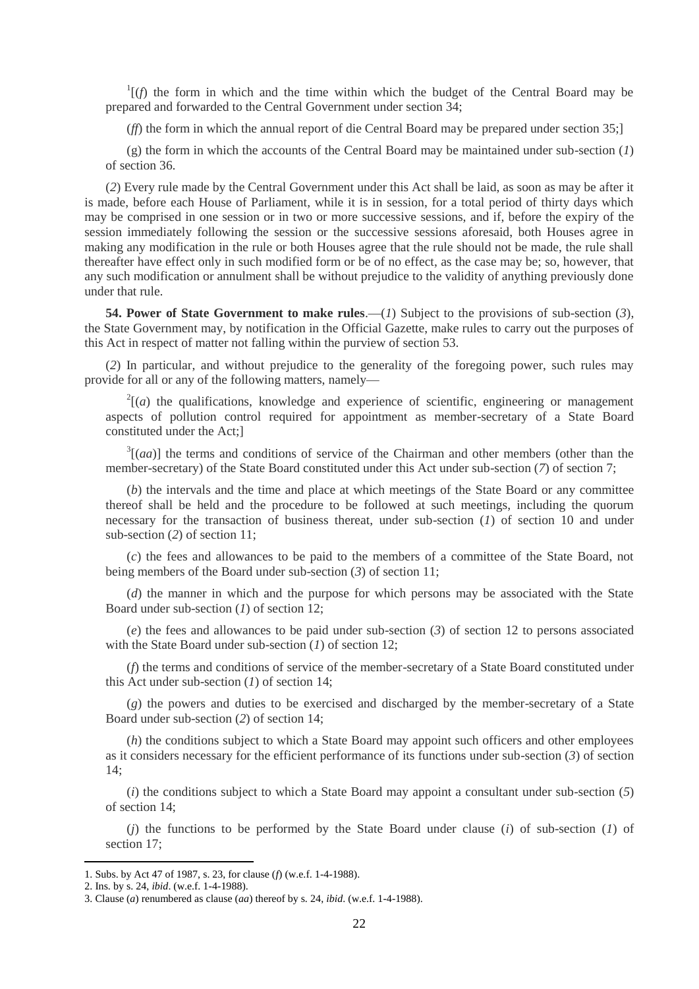$\frac{1}{f}$  (*f*) the form in which and the time within which the budget of the Central Board may be prepared and forwarded to the Central Government under section 34;

(*ff*) the form in which the annual report of die Central Board may be prepared under section 35;]

(g) the form in which the accounts of the Central Board may be maintained under sub-section (*1*) of section 36.

(*2*) Every rule made by the Central Government under this Act shall be laid, as soon as may be after it is made, before each House of Parliament, while it is in session, for a total period of thirty days which may be comprised in one session or in two or more successive sessions, and if, before the expiry of the session immediately following the session or the successive sessions aforesaid, both Houses agree in making any modification in the rule or both Houses agree that the rule should not be made, the rule shall thereafter have effect only in such modified form or be of no effect, as the case may be; so, however, that any such modification or annulment shall be without prejudice to the validity of anything previously done under that rule.

**54. Power of State Government to make rules**.—(*1*) Subject to the provisions of sub-section (*3*), the State Government may, by notification in the Official Gazette, make rules to carry out the purposes of this Act in respect of matter not falling within the purview of section 53.

(*2*) In particular, and without prejudice to the generality of the foregoing power, such rules may provide for all or any of the following matters, namely—

 $2\left[\left(a\right)\right]$  the qualifications, knowledge and experience of scientific, engineering or management aspects of pollution control required for appointment as member-secretary of a State Board constituted under the Act;]

 $3[(aa)]$  the terms and conditions of service of the Chairman and other members (other than the member-secretary) of the State Board constituted under this Act under sub-section (*7*) of section 7;

(*b*) the intervals and the time and place at which meetings of the State Board or any committee thereof shall be held and the procedure to be followed at such meetings, including the quorum necessary for the transaction of business thereat, under sub-section (*1*) of section 10 and under sub-section (*2*) of section 11;

(*c*) the fees and allowances to be paid to the members of a committee of the State Board, not being members of the Board under sub-section (*3*) of section 11;

(*d*) the manner in which and the purpose for which persons may be associated with the State Board under sub-section (*1*) of section 12;

(*e*) the fees and allowances to be paid under sub-section (*3*) of section 12 to persons associated with the State Board under sub-section (*1*) of section 12;

(*f*) the terms and conditions of service of the member-secretary of a State Board constituted under this Act under sub-section (*1*) of section 14;

(*g*) the powers and duties to be exercised and discharged by the member-secretary of a State Board under sub-section (*2*) of section 14;

(*h*) the conditions subject to which a State Board may appoint such officers and other employees as it considers necessary for the efficient performance of its functions under sub-section (*3*) of section 14;

(*i*) the conditions subject to which a State Board may appoint a consultant under sub-section (*5*) of section 14;

(*j*) the functions to be performed by the State Board under clause (*i*) of sub-section (*1*) of section 17;

<sup>1.</sup> Subs. by Act 47 of 1987, s. 23, for clause (*f*) (w.e.f. 1-4-1988).

<sup>2.</sup> Ins. by s. 24, *ibid*. (w.e.f. 1-4-1988).

<sup>3.</sup> Clause (*a*) renumbered as clause (*aa*) thereof by s. 24, *ibid*. (w.e.f. 1-4-1988).